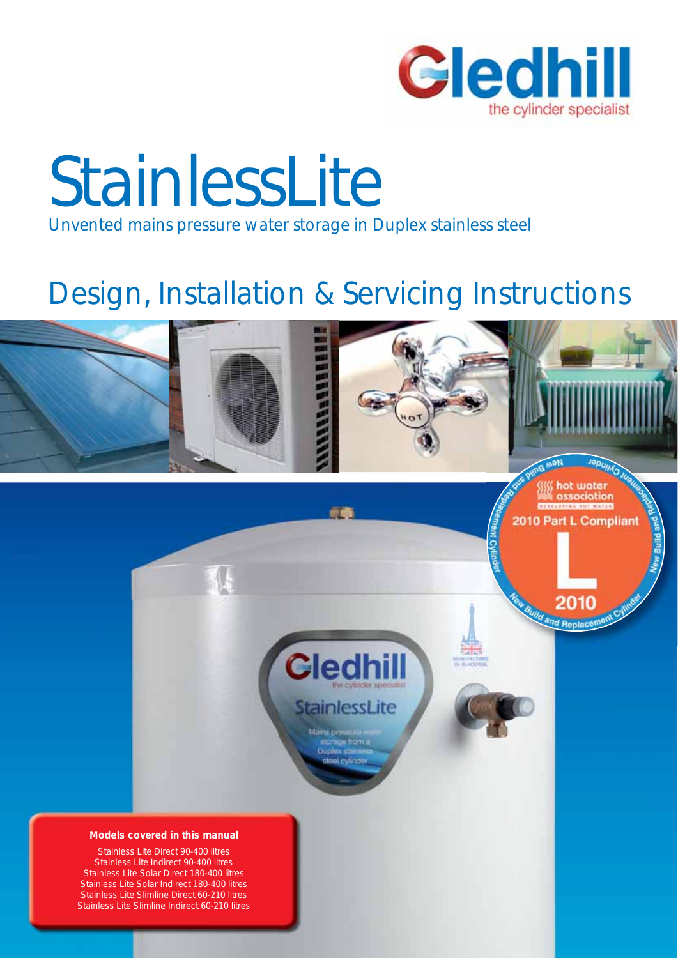

## **StainlessLite** Unvented mains pressure water storage in Duplex stainless steel

### Design, Installation & Servicing Instructions

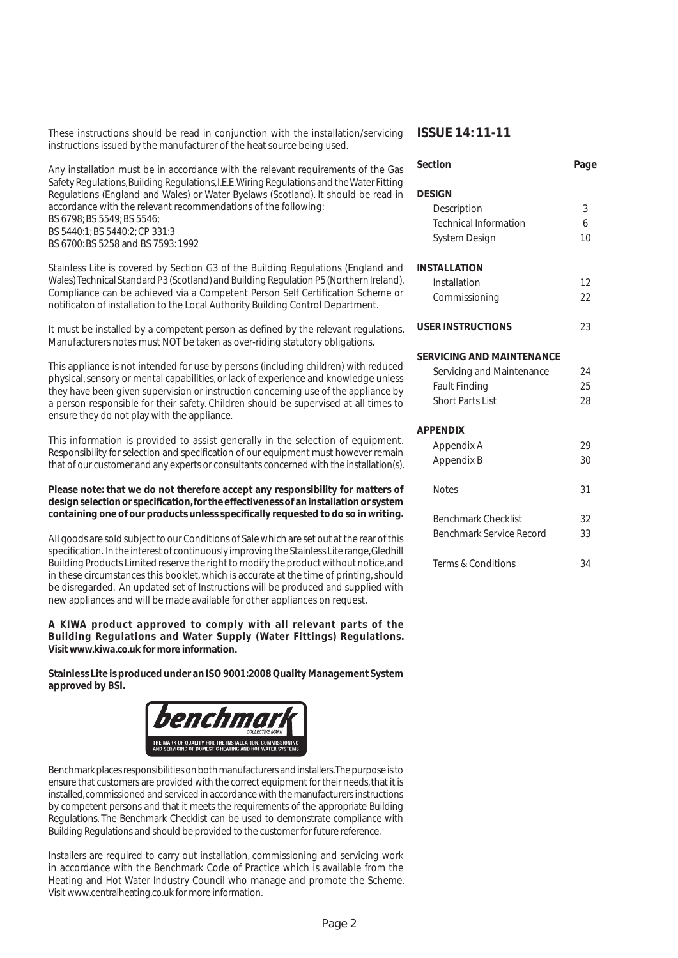These instructions should be read in conjunction with the installation/servicing **ISSUE 14: 11-11** instructions issued by the manufacturer of the heat source being used.

#### Any installation must be in accordance with the relevant requirements of the Gas Safety Regulations, Building Regulations, I.E.E. Wiring Regulations and the Water Fitting Regulations (England and Wales) or Water Byelaws (Scotland). It should be read in accordance with the relevant recommendations of the following: BS 6798; BS 5549; BS 5546; BS 5440:1; BS 5440:2; CP 331:3 BS 6700: BS 5258 and BS 7593: 1992

Stainless Lite is covered by Section G3 of the Building Regulations (England and Wales) Technical Standard P3 (Scotland) and Building Regulation P5 (Northern Ireland). Compliance can be achieved via a Competent Person Self Certification Scheme or notificaton of installation to the Local Authority Building Control Department.

It must be installed by a competent person as defined by the relevant regulations. Manufacturers notes must NOT be taken as over-riding statutory obligations.

This appliance is not intended for use by persons (including children) with reduced physical, sensory or mental capabilities, or lack of experience and knowledge unless they have been given supervision or instruction concerning use of the appliance by a person responsible for their safety. Children should be supervised at all times to ensure they do not play with the appliance.

This information is provided to assist generally in the selection of equipment. Responsibility for selection and specification of our equipment must however remain that of our customer and any experts or consultants concerned with the installation(s).

#### **Please note: that we do not therefore accept any responsibility for matters of**  design selection or specification, for the effectiveness of an installation or system containing one of our products unless specifically requested to do so in writing.

All goods are sold subject to our Conditions of Sale which are set out at the rear of this specification. In the interest of continuously improving the Stainless Lite range, Gledhill Building Products Limited reserve the right to modify the product without notice, and in these circumstances this booklet, which is accurate at the time of printing, should be disregarded. An updated set of Instructions will be produced and supplied with new appliances and will be made available for other appliances on request.

#### **A KIWA product approved to comply with all relevant parts of the Building Regulations and Water Supply (Water Fittings) Regulations. Visit www.kiwa.co.uk for more information.**

**Stainless Lite is produced under an ISO 9001:2008 Quality Management System approved by BSI.**



Benchmark places responsibilities on both manufacturers and installers. The purpose is to ensure that customers are provided with the correct equipment for their needs, that it is installed, commissioned and serviced in accordance with the manufacturers instructions by competent persons and that it meets the requirements of the appropriate Building Regulations. The Benchmark Checklist can be used to demonstrate compliance with Building Regulations and should be provided to the customer for future reference.

Installers are required to carry out installation, commissioning and servicing work in accordance with the Benchmark Code of Practice which is available from the Heating and Hot Water Industry Council who manage and promote the Scheme. Visit www.centralheating.co.uk for more information.

| Section                          | Page |
|----------------------------------|------|
| <b>DESIGN</b>                    |      |
| Description                      | 3    |
| <b>Technical Information</b>     | 6    |
| System Design                    | 10   |
| <b>INSTALLATION</b>              |      |
| Installation                     | 12   |
| Commissioning                    | 22   |
| <b>USER INSTRUCTIONS</b>         | 23   |
| <b>SERVICING AND MAINTENANCE</b> |      |
| Servicing and Maintenance        | 24   |
| <b>Fault Finding</b>             | 25   |
| Short Parts List                 | 28   |
| <b>APPENDIX</b>                  |      |
| Appendix A                       | 29   |
| Appendix B                       | 30   |
| <b>Notes</b>                     | 31   |
| <b>Benchmark Checklist</b>       | 32   |
| <b>Benchmark Service Record</b>  | 33   |
| Terms & Conditions               | 34   |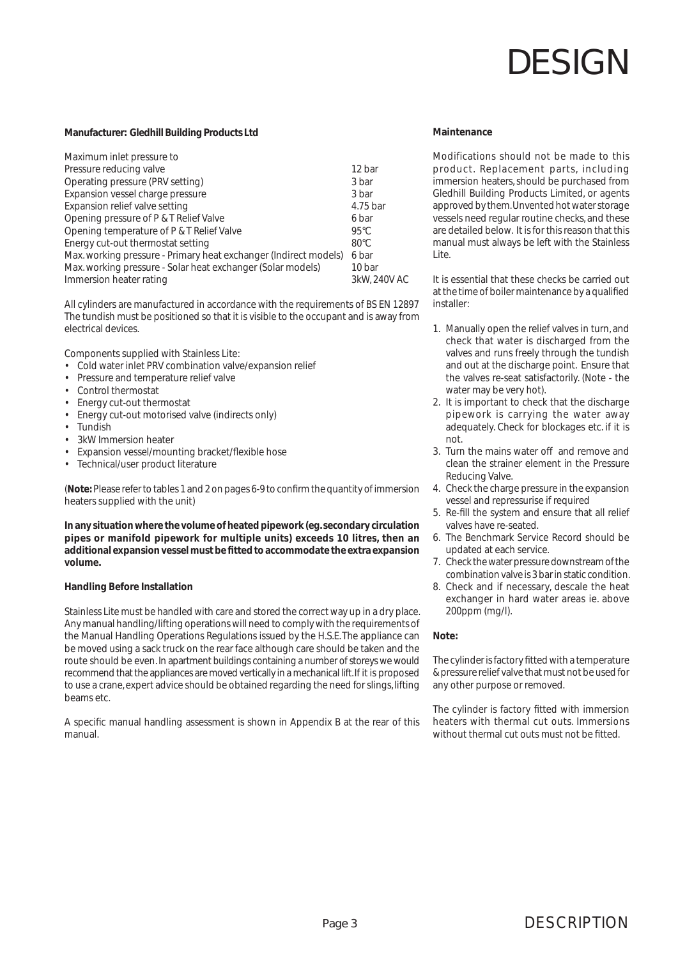#### **Manufacturer: Gledhill Building Products Ltd**

| Maximum inlet pressure to                                        |                |
|------------------------------------------------------------------|----------------|
| Pressure reducing valve                                          | 12 bar         |
| Operating pressure (PRV setting)                                 | 3 bar          |
| Expansion vessel charge pressure                                 | 3 bar          |
| Expansion relief valve setting                                   | 4.75 bar       |
| Opening pressure of P & T Relief Valve                           | 6 bar          |
| Opening temperature of P & T Relief Valve                        | $95^{\circ}$ C |
| Energy cut-out thermostat setting                                | $80^{\circ}$ C |
| Max. working pressure - Primary heat exchanger (Indirect models) | 6 bar          |
| Max. working pressure - Solar heat exchanger (Solar models)      | 10 bar         |
| Immersion heater rating                                          | 3kW, 240V AC   |

All cylinders are manufactured in accordance with the requirements of BS EN 12897 The tundish must be positioned so that it is visible to the occupant and is away from electrical devices.

Components supplied with Stainless Lite:

- Cold water inlet PRV combination valve/expansion relief
- Pressure and temperature relief valve
- Control thermostat
- Energy cut-out thermostat
- Energy cut-out motorised valve (indirects only)
- **Tundish**
- 3kW Immersion heater
- Expansion vessel/mounting bracket/flexible hose
- Technical/user product literature

(**Note**: Please refer to tables 1 and 2 on pages 6-9 to confirm the quantity of immersion heaters supplied with the unit)

**In any situation where the volume of heated pipework (eg. secondary circulation pipes or manifold pipework for multiple units) exceeds 10 litres, then an additional expansion vessel must be fi tted to accommodate the extra expansion volume.**

#### **Handling Before Installation**

Stainless Lite must be handled with care and stored the correct way up in a dry place. Any manual handling/lifting operations will need to comply with the requirements of the Manual Handling Operations Regulations issued by the H.S.E. The appliance can be moved using a sack truck on the rear face although care should be taken and the route should be even. In apartment buildings containing a number of storeys we would recommend that the appliances are moved vertically in a mechanical lift. If it is proposed to use a crane, expert advice should be obtained regarding the need for slings, lifting beams etc.

A specific manual handling assessment is shown in Appendix B at the rear of this manual.

#### **Maintenance**

Modifications should not be made to this product. Replacement parts, including immersion heaters, should be purchased from Gledhill Building Products Limited, or agents approved by them. Unvented hot water storage vessels need regular routine checks, and these are detailed below. It is for this reason that this manual must always be left with the Stainless Lite.

It is essential that these checks be carried out at the time of boiler maintenance by a qualified installer:

1. Manually open the relief valves in turn, and check that water is discharged from the valves and runs freely through the tundish and out at the discharge point. Ensure that the valves re-seat satisfactorily. (Note - the water may be very hot).

- 2. It is important to check that the discharge pipework is carrying the water away adequately. Check for blockages etc. if it is not.
- 3. Turn the mains water off and remove and clean the strainer element in the Pressure Reducing Valve.
- 4. Check the charge pressure in the expansion vessel and repressurise if required
- 5. Re-fill the system and ensure that all relief valves have re-seated.
- 6. The Benchmark Service Record should be updated at each service.
- 7. Check the water pressure downstream of the combination valve is 3 bar in static condition.
- 8. Check and if necessary, descale the heat exchanger in hard water areas ie. above 200ppm (mg/l).

#### **Note:**

The cylinder is factory fitted with a temperature & pressure relief valve that must not be used for any other purpose or removed.

The cylinder is factory fitted with immersion heaters with thermal cut outs. Immersions without thermal cut outs must not be fitted.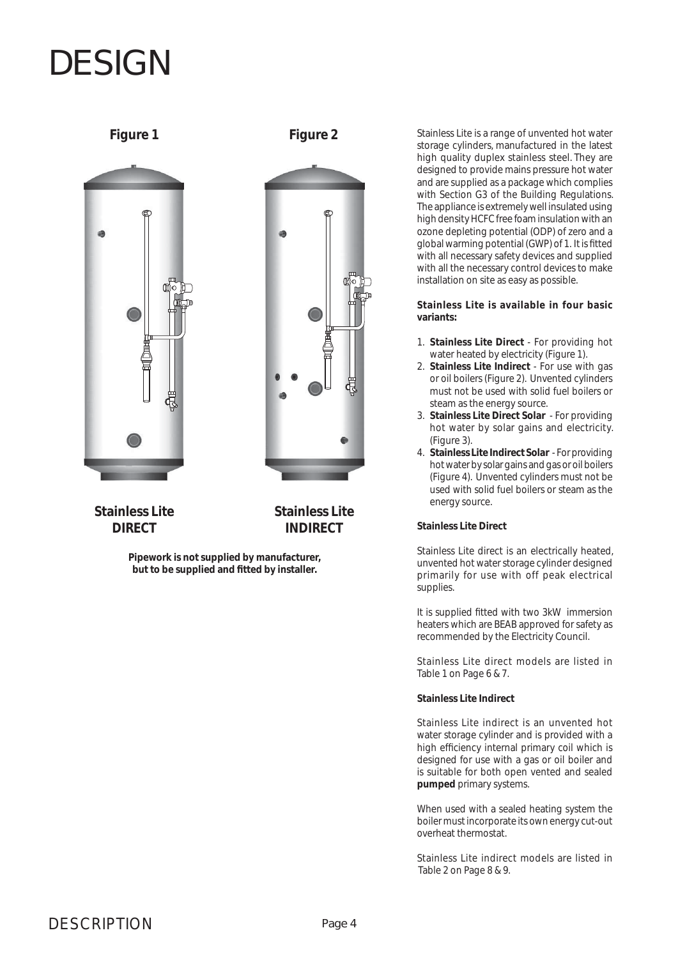

Figure 1 Figure 2



**Stainless Lite DIRECT**

**Stainless Lite INDIRECT**

**Pipework is not supplied by manufacturer,** but to be supplied and fitted by installer.

Stainless Lite is a range of unvented hot water storage cylinders, manufactured in the latest high quality duplex stainless steel. They are designed to provide mains pressure hot water and are supplied as a package which complies with Section G3 of the Building Regulations. The appliance is extremely well insulated using high density HCFC free foam insulation with an ozone depleting potential (ODP) of zero and a global warming potential (GWP) of 1. It is fitted with all necessary safety devices and supplied with all the necessary control devices to make installation on site as easy as possible.

**Stainless Lite is available in four basic variants:**

- 1. **Stainless Lite Direct** For providing hot water heated by electricity (Figure 1).
- 2. **Stainless Lite Indirect** For use with gas or oil boilers (Figure 2). Unvented cylinders must not be used with solid fuel boilers or steam as the energy source.
- 3. **Stainless Lite Direct Solar**  For providing hot water by solar gains and electricity. (Figure 3).
- 4. **Stainless Lite Indirect Solar**  For providing hot water by solar gains and gas or oil boilers (Figure 4). Unvented cylinders must not be used with solid fuel boilers or steam as the energy source.

#### **Stainless Lite Direct**

Stainless Lite direct is an electrically heated, unvented hot water storage cylinder designed primarily for use with off peak electrical supplies.

It is supplied fitted with two 3kW immersion heaters which are BEAB approved for safety as recommended by the Electricity Council.

Stainless Lite direct models are listed in Table 1 on Page 6 & 7.

### **Stainless Lite Indirect**

Stainless Lite indirect is an unvented hot water storage cylinder and is provided with a high efficiency internal primary coil which is designed for use with a gas or oil boiler and is suitable for both open vented and sealed **pumped** primary systems.

When used with a sealed heating system the boiler must incorporate its own energy cut-out overheat thermostat.

Stainless Lite indirect models are listed in Table 2 on Page 8 & 9.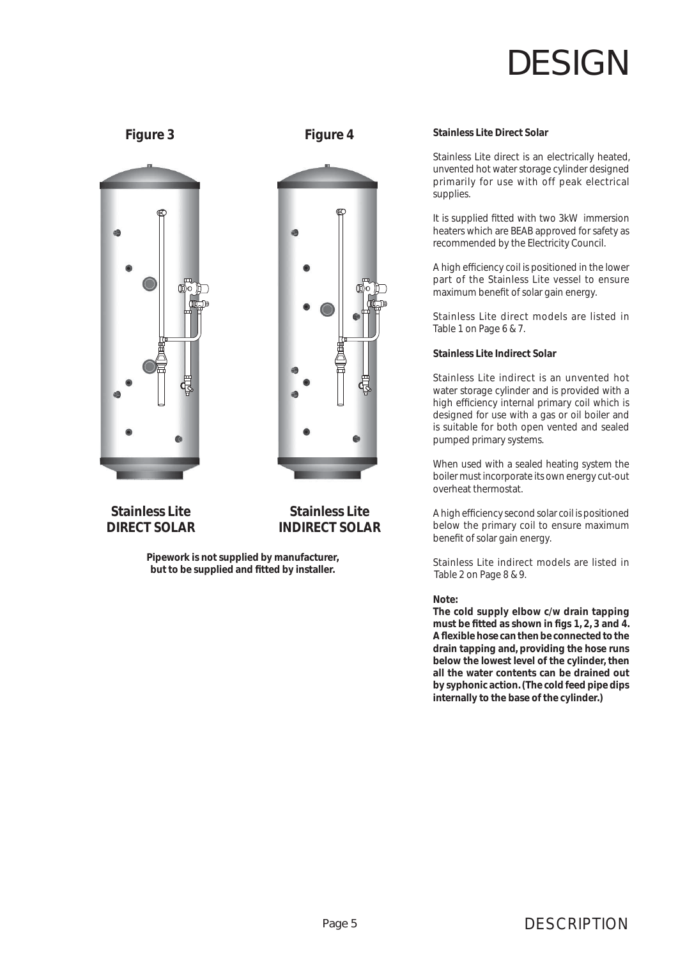

### **Figure 3 Figure 4**



**Stainless Lite INDIRECT SOLAR**

**Stainless Lite DIRECT SOLAR**

> **Pipework is not supplied by manufacturer,** but to be supplied and fitted by installer.

#### **Stainless Lite Direct Solar**

Stainless Lite direct is an electrically heated, unvented hot water storage cylinder designed primarily for use with off peak electrical supplies.

It is supplied fitted with two 3kW immersion heaters which are BEAB approved for safety as recommended by the Electricity Council.

A high efficiency coil is positioned in the lower part of the Stainless Lite vessel to ensure maximum benefit of solar gain energy.

Stainless Lite direct models are listed in Table 1 on Page 6 & 7.

#### **Stainless Lite Indirect Solar**

Stainless Lite indirect is an unvented hot water storage cylinder and is provided with a high efficiency internal primary coil which is designed for use with a gas or oil boiler and is suitable for both open vented and sealed pumped primary systems.

When used with a sealed heating system the boiler must incorporate its own energy cut-out overheat thermostat.

A high efficiency second solar coil is positioned below the primary coil to ensure maximum benefit of solar gain energy.

Stainless Lite indirect models are listed in Table 2 on Page 8 & 9.

#### **Note:**

**The cold supply elbow c/w drain tapping**  must be fitted as shown in figs 1, 2, 3 and 4. A flexible hose can then be connected to the **drain tapping and, providing the hose runs below the lowest level of the cylinder, then all the water contents can be drained out by syphonic action. (The cold feed pipe dips internally to the base of the cylinder.)**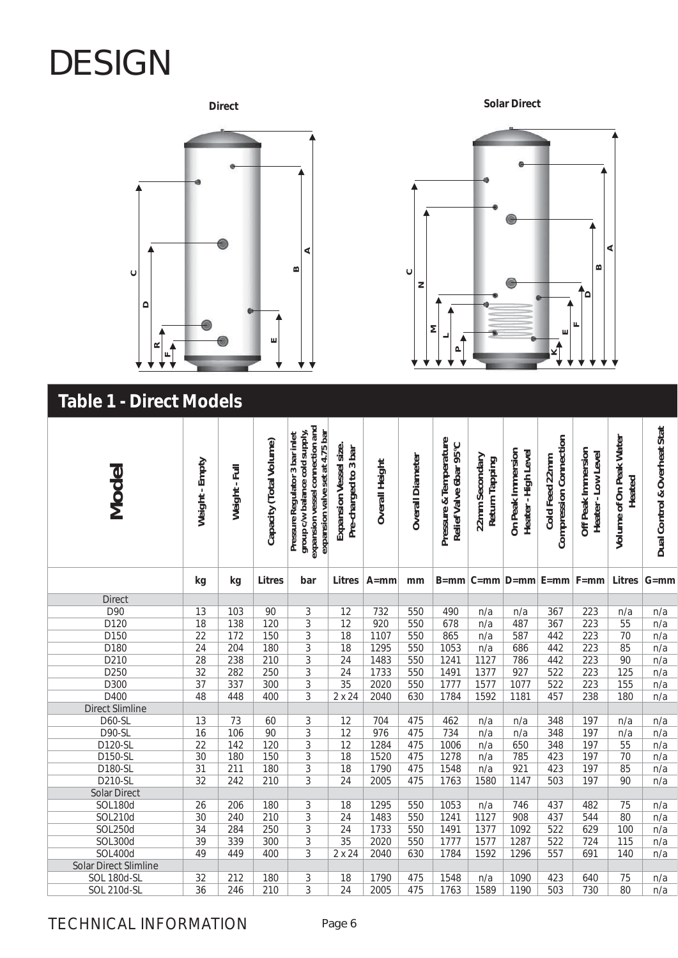

### **Solar Direct**



### **Table 1 - Direct Models**

| Model                        | Weight - Empty  | Weight - Full | Capacity (Total Volume) | expansion vessel connection and<br>group c/w balance cold supply,<br>expansion valve set at 4.75 bar<br>Pressure Regulator 3 bar inlet | Expansion Vessel size.<br>Pre-charged to 3 bar | <b>Overall Height</b> | Overall Diameter | Pressure & Temperature<br>Relief Valve 6bar 95°C | 22mm Secondary<br>Return Tapping | On Peak Immersion<br>Heater-High Level | Compression Connection<br>Cold Feed 22mm | Off Peak Immersion<br>Heater-Low Level | Volume of On Peak Water<br>Heated | Dual Control & Overheat Stat |
|------------------------------|-----------------|---------------|-------------------------|----------------------------------------------------------------------------------------------------------------------------------------|------------------------------------------------|-----------------------|------------------|--------------------------------------------------|----------------------------------|----------------------------------------|------------------------------------------|----------------------------------------|-----------------------------------|------------------------------|
|                              | kg              | kg            | <b>Litres</b>           | bar                                                                                                                                    | <b>Litres</b>                                  | $A = mm$              | mm               |                                                  |                                  |                                        | $B=mm C=mm D=mm E=mm F=mm$               |                                        | <b>Litres</b>                     | $G = mm$                     |
| <b>Direct</b>                |                 |               |                         |                                                                                                                                        |                                                |                       |                  |                                                  |                                  |                                        |                                          |                                        |                                   |                              |
| D90                          | $\overline{13}$ | 103           | 90                      | 3                                                                                                                                      | $\overline{12}$                                | 732                   | 550              | 490                                              | n/a                              | n/a                                    | 367                                      | 223                                    | n/a                               | n/a                          |
| D <sub>120</sub>             | $\overline{18}$ | 138           | 120                     | $\overline{3}$                                                                                                                         | $\overline{12}$                                | 920                   | 550              | 678                                              | n/a                              | 487                                    | 367                                      | 223                                    | 55                                | n/a                          |
| D150                         | $\overline{22}$ | 172           | 150                     | $\overline{3}$                                                                                                                         | $\overline{18}$                                | 1107                  | 550              | 865                                              | n/a                              | 587                                    | 442                                      | 223                                    | 70                                | n/a                          |
| D180                         | $\overline{24}$ | 204           | 180                     | $\overline{3}$                                                                                                                         | $\overline{18}$                                | 1295                  | 550              | 1053                                             | n/a                              | 686                                    | 442                                      | $\overline{223}$                       | 85                                | n/a                          |
| D210                         | $\overline{28}$ | 238           | $\overline{210}$        | $\overline{3}$                                                                                                                         | $\overline{24}$                                | 1483                  | 550              | 1241                                             | 1127                             | 786                                    | 442                                      | 223                                    | 90                                | n/a                          |
| D250                         | $\overline{32}$ | 282           | $\overline{250}$        | $\overline{3}$                                                                                                                         | $\overline{24}$                                | 1733                  | 550              | 1491                                             | 1377                             | 927                                    | $\overline{522}$                         | $\overline{223}$                       | $\overline{125}$                  | n/a                          |
| D300                         | $\overline{37}$ | 337           | $\overline{300}$        | $\overline{3}$                                                                                                                         | $\overline{35}$                                | 2020                  | 550              | 1777                                             | 1577                             | 1077                                   | 522                                      | $\overline{223}$                       | 155                               | n/a                          |
| D400                         | $\overline{48}$ | 448           | 400                     | $\overline{3}$                                                                                                                         | $2 \times 24$                                  | 2040                  | 630              | 1784                                             | 1592                             | 1181                                   | 457                                      | 238                                    | 180                               | n/a                          |
| <b>Direct Slimline</b>       |                 |               |                         |                                                                                                                                        |                                                |                       |                  |                                                  |                                  |                                        |                                          |                                        |                                   |                              |
| <b>D60-SL</b>                | 13              | 73            | 60                      | 3                                                                                                                                      | 12                                             | 704                   | 475              | 462                                              | n/a                              | n/a                                    | 348                                      | 197                                    | n/a                               | n/a                          |
| <b>D90-SL</b>                | $\overline{16}$ | 106           | 90                      | $\overline{3}$                                                                                                                         | 12                                             | 976                   | 475              | 734                                              | n/a                              | n/a                                    | 348                                      | 197                                    | n/a                               | n/a                          |
| D120-SL                      | $\overline{22}$ | 142           | 120                     | $\overline{3}$                                                                                                                         | $\overline{12}$                                | 1284                  | 475              | 1006                                             | n/a                              | 650                                    | 348                                      | 197                                    | $\overline{55}$                   | n/a                          |
| D150-SL                      | $\overline{30}$ | 180           | 150                     | $\overline{3}$                                                                                                                         | $\overline{18}$                                | 1520                  | 475              | 1278                                             | n/a                              | 785                                    | 423                                      | 197                                    | $\overline{70}$                   | n/a                          |
| D180-SL                      | $\overline{31}$ | 211           | 180                     | $\overline{3}$                                                                                                                         | 18                                             | 1790                  | 475              | 1548                                             | n/a                              | 921                                    | 423                                      | 197                                    | 85                                | n/a                          |
| D210-SL                      | $\overline{32}$ | 242           | $\overline{210}$        | $\overline{3}$                                                                                                                         | $\overline{24}$                                | 2005                  | 475              | 1763                                             | 1580                             | 1147                                   | $\overline{503}$                         | 197                                    | 90                                | n/a                          |
| <b>Solar Direct</b>          |                 |               |                         |                                                                                                                                        |                                                |                       |                  |                                                  |                                  |                                        |                                          |                                        |                                   |                              |
| <b>SOL180d</b>               | 26              | 206           | 180                     | 3                                                                                                                                      | 18                                             | 1295                  | 550              | 1053                                             | n/a                              | 746                                    | 437                                      | 482                                    | 75                                | n/a                          |
| SOL210d                      | $\overline{30}$ | 240           | $\overline{210}$        | $\overline{3}$                                                                                                                         | $\overline{24}$                                | 1483                  | 550              | 1241                                             | 1127                             | 908                                    | 437                                      | 544                                    | $\overline{80}$                   | n/a                          |
| <b>SOL250d</b>               | $\overline{34}$ | 284           | 250                     | $\overline{3}$                                                                                                                         | $\overline{24}$                                | 1733                  | 550              | 1491                                             | 1377                             | 1092                                   | 522                                      | 629                                    | 100                               | n/a                          |
| SOL300d                      | $\overline{39}$ | 339           | $\overline{300}$        | $\overline{3}$                                                                                                                         | $\overline{35}$                                | 2020                  | 550              | 1777                                             | 1577                             | 1287                                   | $\overline{522}$                         | 724                                    | 115                               | n/a                          |
| <b>SOL400d</b>               | 49              | 449           | 400                     | $\overline{3}$                                                                                                                         | $2 \times 24$                                  | 2040                  | 630              | 1784                                             | 1592                             | 1296                                   | 557                                      | 691                                    | 140                               | n/a                          |
| <b>Solar Direct Slimline</b> |                 |               |                         |                                                                                                                                        |                                                |                       |                  |                                                  |                                  |                                        |                                          |                                        |                                   |                              |
| SOL 180d-SL                  | $\overline{32}$ | 212           | 180                     | 3                                                                                                                                      | 18                                             | 1790                  | 475              | 1548                                             | n/a                              | 1090                                   | 423                                      | 640                                    | 75                                | n/a                          |
| <b>SOL 210d-SL</b>           | $\overline{36}$ | 246           | $\overline{210}$        | $\overline{3}$                                                                                                                         | $\overline{24}$                                | 2005                  | 475              | 1763                                             | 1589                             | 1190                                   | 503                                      | 730                                    | $\overline{80}$                   | n/a                          |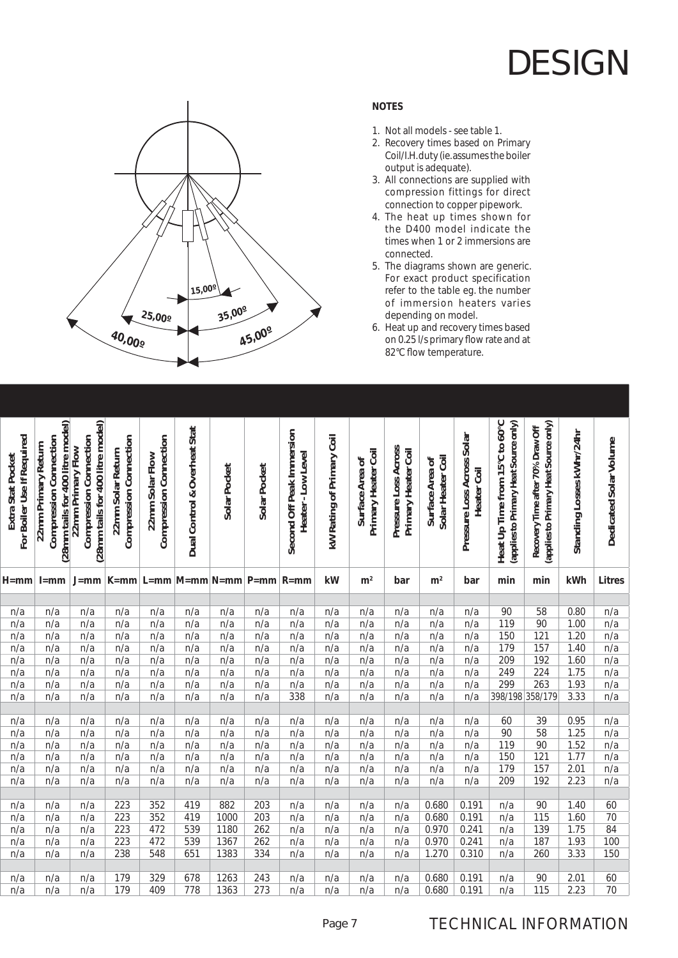

### **NOTES**

- 1. Not all models see table 1.
- 2. Recovery times based on Primary Coil/I.H. duty (ie. assumes the boiler output is adequate).
- 3. All connections are supplied with compression fittings for direct connection to copper pipework.
- 4. The heat up times shown for the D400 model indicate the times when 1 or 2 immersions are connected.
- 5. The diagrams shown are generic. For exact product specification refer to the table eg. the number of immersion heaters varies depending on model.
- 6. Heat up and recovery times based on 0.25 l/s primary flow rate and at 82°C flow temperature.

| For Boiler Use If Required<br>Extra Stat Pocket | (28mm tails for 400 litre model)<br><b>Compression Connection</b><br>22mm Primary Return | (28mm tails for 400 litre model)<br><b>Compression Connection</b><br>22mm Primary Flow | Compression Connection<br>22mm Solar Return | Compression Connection<br>22mm Solar Flow | Dual Control & Overheat Stat     | Solar Pocket | Solar Pocket | Second Off Peak Immersion<br>Heater-Low Level | kW Rating of Primary Coil | Primary Heater Coil<br>Surface Area of | Pressure Loss Across<br>Primary Heater Coil | Solar Heater Coil<br>Surface Area of | Pressure Loss Across Solar<br>Heater Coil | Heat Up Time from 15°C to 60°C<br>(applies to Primary Heat Source only) | (applies to Primary Heat Source only)<br>Recovery Time after 70% Draw Off | Standing Losses kWhr/24hr | Dedicated Solar Volume |
|-------------------------------------------------|------------------------------------------------------------------------------------------|----------------------------------------------------------------------------------------|---------------------------------------------|-------------------------------------------|----------------------------------|--------------|--------------|-----------------------------------------------|---------------------------|----------------------------------------|---------------------------------------------|--------------------------------------|-------------------------------------------|-------------------------------------------------------------------------|---------------------------------------------------------------------------|---------------------------|------------------------|
| H=mm                                            | $l = mm$                                                                                 | $J = mm$                                                                               |                                             |                                           | K=mm   L=mm   M=mm   N=mm   P=mm |              |              | $R = mm$                                      | kW                        | m <sup>2</sup>                         | bar                                         | m <sup>2</sup>                       | bar                                       | min                                                                     | min                                                                       | kWh                       | <b>Litres</b>          |
|                                                 |                                                                                          |                                                                                        |                                             |                                           |                                  |              |              |                                               |                           |                                        |                                             |                                      |                                           |                                                                         |                                                                           |                           |                        |
| n/a                                             | n/a                                                                                      | n/a                                                                                    | n/a                                         | n/a                                       | n/a                              | n/a          | n/a          | n/a                                           | n/a                       | n/a                                    | n/a                                         | n/a                                  | n/a                                       | 90                                                                      | 58                                                                        | 0.80                      | n/a                    |
| n/a                                             | n/a                                                                                      | n/a                                                                                    | n/a                                         | n/a                                       | n/a                              | n/a          | n/a          | n/a                                           | n/a                       | n/a                                    | n/a                                         | n/a                                  | n/a                                       | 119                                                                     | 90                                                                        | 1.00                      | n/a                    |
| n/a                                             | n/a                                                                                      | n/a                                                                                    | n/a                                         | n/a                                       | n/a                              | n/a          | n/a          | n/a                                           | n/a                       | n/a                                    | n/a                                         | n/a                                  | n/a                                       | 150                                                                     | 121                                                                       | 1.20                      | n/a                    |
| n/a                                             | n/a                                                                                      | n/a                                                                                    | n/a                                         | n/a                                       | n/a                              | n/a          | n/a          | n/a                                           | n/a                       | n/a                                    | n/a                                         | n/a                                  | n/a                                       | 179                                                                     | 157                                                                       | 1.40                      | n/a                    |
| n/a                                             | n/a                                                                                      | n/a                                                                                    | n/a                                         | n/a                                       | n/a                              | n/a          | n/a          | n/a                                           | n/a                       | n/a                                    | n/a                                         | n/a                                  | n/a                                       | 209                                                                     | 192                                                                       | 1.60                      | n/a                    |
| n/a                                             | n/a                                                                                      | n/a                                                                                    | n/a                                         | n/a                                       | n/a                              | n/a          | n/a          | n/a                                           | n/a                       | n/a                                    | n/a                                         | n/a                                  | n/a                                       | 249                                                                     | 224                                                                       | 1.75                      | n/a                    |
| n/a                                             | n/a                                                                                      | n/a                                                                                    | n/a                                         | n/a                                       | n/a                              | n/a          | n/a          | n/a                                           | n/a                       | n/a                                    | n/a                                         | n/a                                  | n/a                                       | 299                                                                     | 263                                                                       | 1.93                      | n/a                    |
| n/a                                             | n/a                                                                                      | n/a                                                                                    | n/a                                         | n/a                                       | n/a                              | n/a          | n/a          | 338                                           | n/a                       | n/a                                    | n/a                                         | n/a                                  | n/a                                       | 398/198                                                                 | 358/179                                                                   | 3.33                      | n/a                    |
|                                                 |                                                                                          |                                                                                        |                                             |                                           |                                  |              |              |                                               |                           |                                        |                                             |                                      |                                           |                                                                         |                                                                           |                           |                        |
| n/a                                             | n/a                                                                                      | n/a                                                                                    | n/a                                         | n/a                                       | n/a                              | n/a          | n/a          | n/a                                           | n/a                       | n/a                                    | n/a                                         | n/a                                  | n/a                                       | 60                                                                      | 39                                                                        | 0.95                      | n/a                    |
| n/a                                             | n/a                                                                                      | n/a                                                                                    | n/a                                         | n/a                                       | n/a                              | n/a          | n/a          | n/a                                           | n/a                       | n/a                                    | n/a                                         | n/a                                  | n/a                                       | 90                                                                      | 58                                                                        | 1.25                      | n/a                    |
| n/a                                             | n/a                                                                                      | n/a                                                                                    | n/a                                         | n/a                                       | n/a                              | n/a          | n/a          | n/a                                           | n/a                       | n/a                                    | n/a                                         | n/a                                  | n/a                                       | 119                                                                     | 90                                                                        | 1.52                      | n/a                    |
| n/a                                             | n/a                                                                                      | n/a                                                                                    | n/a                                         | n/a                                       | n/a                              | n/a          | n/a          | n/a                                           | n/a                       | n/a                                    | n/a                                         | n/a                                  | n/a                                       | 150                                                                     | 121                                                                       | 1.77                      | n/a                    |
| n/a                                             | n/a                                                                                      | n/a                                                                                    | n/a                                         | n/a                                       | n/a                              | n/a          | n/a          | n/a                                           | n/a                       | n/a                                    | n/a                                         | n/a                                  | n/a                                       | 179                                                                     | 157                                                                       | 2.01                      | n/a                    |
| n/a                                             | n/a                                                                                      | n/a                                                                                    | n/a                                         | n/a                                       | n/a                              | n/a          | n/a          | n/a                                           | n/a                       | n/a                                    | n/a                                         | n/a                                  | n/a                                       | 209                                                                     | 192                                                                       | 2.23                      | n/a                    |
|                                                 |                                                                                          |                                                                                        |                                             |                                           |                                  |              |              |                                               |                           |                                        |                                             |                                      |                                           |                                                                         |                                                                           |                           |                        |
| n/a                                             | n/a                                                                                      | n/a                                                                                    | 223                                         | 352                                       | 419                              | 882          | 203          | n/a                                           | n/a                       | n/a                                    | n/a                                         | 0.680                                | 0.191                                     | n/a                                                                     | 90                                                                        | 1.40                      | 60<br>$\overline{70}$  |
| n/a                                             | n/a                                                                                      | n/a                                                                                    | 223                                         | 352                                       | 419                              | 1000         | 203          | n/a                                           | n/a                       | n/a                                    | n/a                                         | 0.680                                | 0.191                                     | n/a                                                                     | 115                                                                       | 1.60                      |                        |
| n/a                                             | n/a                                                                                      | n/a                                                                                    | 223                                         | 472                                       | 539                              | 1180         | 262          | n/a                                           | n/a                       | n/a                                    | n/a                                         | 0.970                                | 0.241                                     | n/a                                                                     | 139                                                                       | 1.75                      | 84                     |
| n/a                                             | n/a                                                                                      | n/a                                                                                    | 223                                         | 472                                       | 539                              | 1367         | 262          | n/a                                           | n/a                       | n/a                                    | n/a                                         | 0.970                                | 0.241                                     | n/a                                                                     | 187                                                                       | 1.93                      | 100                    |
| n/a                                             | n/a                                                                                      | n/a                                                                                    | 238                                         | 548                                       | 651                              | 1383         | 334          | n/a                                           | n/a                       | n/a                                    | n/a                                         | 1.270                                | 0.310                                     | n/a                                                                     | 260                                                                       | 3.33                      | 150                    |
| n/a                                             | n/a                                                                                      | n/a                                                                                    | 179                                         | 329                                       | 678                              | 1263         | 243          | n/a                                           | n/a                       | n/a                                    | n/a                                         | 0.680                                | 0.191                                     | n/a                                                                     | 90                                                                        | 2.01                      | 60                     |
| n/a                                             | n/a                                                                                      | n/a                                                                                    | 179                                         | 409                                       | 778                              | 1363         | 273          | n/a                                           | n/a                       | n/a                                    | n/a                                         | 0.680                                | 0.191                                     | n/a                                                                     | 115                                                                       | 2.23                      | 70                     |
|                                                 |                                                                                          |                                                                                        |                                             |                                           |                                  |              |              |                                               |                           |                                        |                                             |                                      |                                           |                                                                         |                                                                           |                           |                        |

### TECHNICAL INFORMATION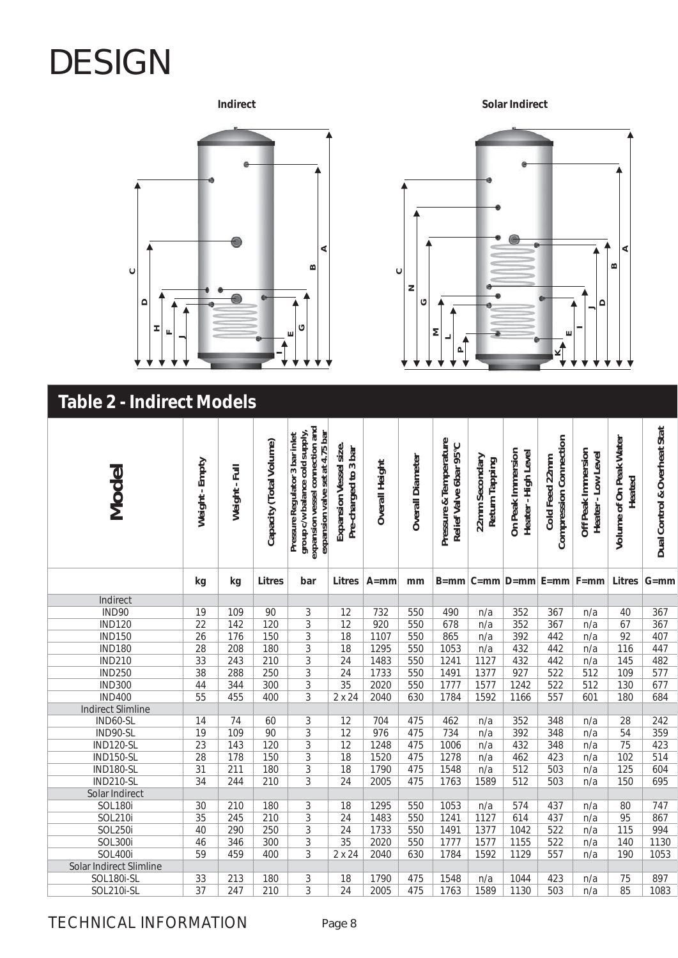**AC DHFEJ B G**

**Indirect**

**Solar Indirect**



### **Table 2 - Indirect Models**

| Model                    | Weight-Empty    | Weight - Full    | Capacity (Total Volume) | expansion vessel connection and<br>expansion valve set at 4.75 bar<br>group c/w balance cold supply,<br>Pressure Regulator 3 bar inlet | Expansion Vessel size.<br>Pre-charged to 3 bar | Overall Height | <b>Overall Diameter</b> | Pressure & Temperature<br>Relief Valve 6bar 95°C | 22mm Secondary<br>Return Tapping | On Peak Immersion<br>Heater - High Level | Compression Connection<br>Cold Feed 22mm | Off Peak Immersion<br>Heater-Low Level | <b>Volume of On Peak Water</b><br>Heated | Dual Control & Overheat Stat |
|--------------------------|-----------------|------------------|-------------------------|----------------------------------------------------------------------------------------------------------------------------------------|------------------------------------------------|----------------|-------------------------|--------------------------------------------------|----------------------------------|------------------------------------------|------------------------------------------|----------------------------------------|------------------------------------------|------------------------------|
|                          | kg              | kg               | <b>Litres</b>           | bar                                                                                                                                    | <b>Litres</b>                                  | $A = mm$       | mm                      |                                                  |                                  |                                          | $B=mm C=mm D=mm E=mm F=mm$               |                                        | Litres                                   | $G = mm$                     |
| Indirect                 |                 |                  |                         |                                                                                                                                        |                                                |                |                         |                                                  |                                  |                                          |                                          |                                        |                                          |                              |
| <b>IND90</b>             | $\overline{19}$ | 109              | 90                      | $\overline{3}$                                                                                                                         | $\overline{12}$                                | 732            | 550                     | 490                                              | n/a                              | 352                                      | 367                                      | n/a                                    | 40                                       | 367                          |
| <b>IND120</b>            | $\overline{22}$ | 142              | 120                     | 3                                                                                                                                      | 12                                             | 920            | 550                     | 678                                              | n/a                              | 352                                      | 367                                      | n/a                                    | 67                                       | 367                          |
| <b>IND150</b>            | $\overline{26}$ | 176              | 150                     | $\overline{3}$                                                                                                                         | $\overline{18}$                                | 1107           | 550                     | 865                                              | n/a                              | $\overline{392}$                         | 442                                      | n/a                                    | $\overline{92}$                          | 407                          |
| <b>IND180</b>            | $\overline{28}$ | 208              | 180                     | $\overline{3}$                                                                                                                         | $\overline{18}$                                | 1295           | 550                     | 1053                                             | n/a                              | 432                                      | 442                                      | n/a                                    | 116                                      | 447                          |
| <b>IND210</b>            | $\overline{33}$ | 243              | $\overline{210}$        | $\overline{3}$                                                                                                                         | 24                                             | 1483           | 550                     | 1241                                             | 1127                             | 432                                      | 442                                      | n/a                                    | 145                                      | 482                          |
| <b>IND250</b>            | $\overline{38}$ | 288              | 250                     | $\overline{3}$                                                                                                                         | $\overline{24}$                                | 1733           | 550                     | 1491                                             | 1377                             | 927                                      | 522                                      | $\overline{512}$                       | 109                                      | $\overline{577}$             |
| <b>IND300</b>            | 44              | 344              | 300                     | $\overline{3}$                                                                                                                         | $\overline{35}$                                | 2020           | 550                     | 1777                                             | 1577                             | 1242                                     | 522                                      | $\overline{512}$                       | 130                                      | 677                          |
| <b>IND400</b>            | $\overline{55}$ | 455              | 400                     | $\overline{3}$                                                                                                                         | $2 \times 24$                                  | 2040           | 630                     | 1784                                             | 1592                             | 1166                                     | 557                                      | 601                                    | 180                                      | 684                          |
| <b>Indirect Slimline</b> |                 |                  |                         |                                                                                                                                        |                                                |                |                         |                                                  |                                  |                                          |                                          |                                        |                                          |                              |
| IND60-SL                 | 14              | 74               | 60                      | 3                                                                                                                                      | 12                                             | 704            | 475                     | 462                                              | n/a                              | 352                                      | 348                                      | n/a                                    | 28                                       | 242                          |
| IND90-SL                 | $\overline{19}$ | 109              | 90                      | $\overline{3}$                                                                                                                         | $\overline{12}$                                | 976            | 475                     | 734                                              | n/a                              | 392                                      | 348                                      | n/a                                    | $\overline{54}$                          | 359                          |
| <b>IND120-SL</b>         | $\overline{23}$ | 143              | 120                     | $\overline{3}$                                                                                                                         | $\overline{12}$                                | 1248           | 475                     | 1006                                             | n/a                              | 432                                      | 348                                      | n/a                                    | $\overline{75}$                          | 423                          |
| <b>IND150-SL</b>         | $\overline{28}$ | $\overline{178}$ | 150                     | $\overline{3}$                                                                                                                         | $\overline{18}$                                | 1520           | 475                     | 1278                                             | n/a                              | 462                                      | 423                                      | n/a                                    | 102                                      | $\overline{514}$             |
| <b>IND180-SL</b>         | $\overline{31}$ | $\overline{211}$ | 180                     | $\overline{3}$                                                                                                                         | $\overline{18}$                                | 1790           | 475                     | 1548                                             | n/a                              | $\overline{512}$                         | $\overline{503}$                         | n/a                                    | $\overline{125}$                         | 604                          |
| <b>IND210-SL</b>         | $\overline{34}$ | 244              | 210                     | $\overline{3}$                                                                                                                         | $\overline{24}$                                | 2005           | 475                     | 1763                                             | 1589                             | $\overline{512}$                         | 503                                      | n/a                                    | 150                                      | 695                          |
| Solar Indirect           |                 |                  |                         |                                                                                                                                        |                                                |                |                         |                                                  |                                  |                                          |                                          |                                        |                                          |                              |
| <b>SOL180i</b>           | 30              | 210              | 180                     | 3                                                                                                                                      | 18                                             | 1295           | 550                     | 1053                                             | n/a                              | 574                                      | 437                                      | n/a                                    | 80                                       | 747                          |
| <b>SOL210i</b>           | $\overline{35}$ | 245              | 210                     | $\overline{3}$                                                                                                                         | $\overline{24}$                                | 1483           | 550                     | 1241                                             | 1127                             | 614                                      | 437                                      | n/a                                    | 95                                       | 867                          |
| <b>SOL250i</b>           | 40              | 290              | 250                     | $\overline{3}$                                                                                                                         | $\overline{24}$                                | 1733           | 550                     | 1491                                             | 1377                             | 1042                                     | 522                                      | n/a                                    | 115                                      | 994                          |
| <b>SOL300i</b>           | 46              | 346              | 300                     | $\overline{3}$                                                                                                                         | $\overline{35}$                                | 2020           | 550                     | 1777                                             | 1577                             | 1155                                     | 522                                      | n/a                                    | 140                                      | 1130                         |
| <b>SOL400i</b>           | 59              | 459              | 400                     | $\overline{3}$                                                                                                                         | $2 \times 24$                                  | 2040           | 630                     | 1784                                             | 1592                             | 1129                                     | 557                                      | n/a                                    | 190                                      | 1053                         |
| Solar Indirect Slimline  |                 |                  |                         |                                                                                                                                        |                                                |                |                         |                                                  |                                  |                                          |                                          |                                        |                                          |                              |
| <b>SOL180i-SL</b>        | 33              | 213              | 180                     | 3                                                                                                                                      | 18                                             | 1790           | 475                     | 1548                                             | n/a                              | 1044                                     | 423                                      | n/a                                    | 75                                       | 897                          |
| <b>SOL210i-SL</b>        | $\overline{37}$ | 247              | 210                     | $\overline{3}$                                                                                                                         | $\overline{24}$                                | 2005           | 475                     | 1763                                             | 1589                             | 1130                                     | $\overline{503}$                         | n/a                                    | 85                                       | 1083                         |

TECHNICAL INFORMATION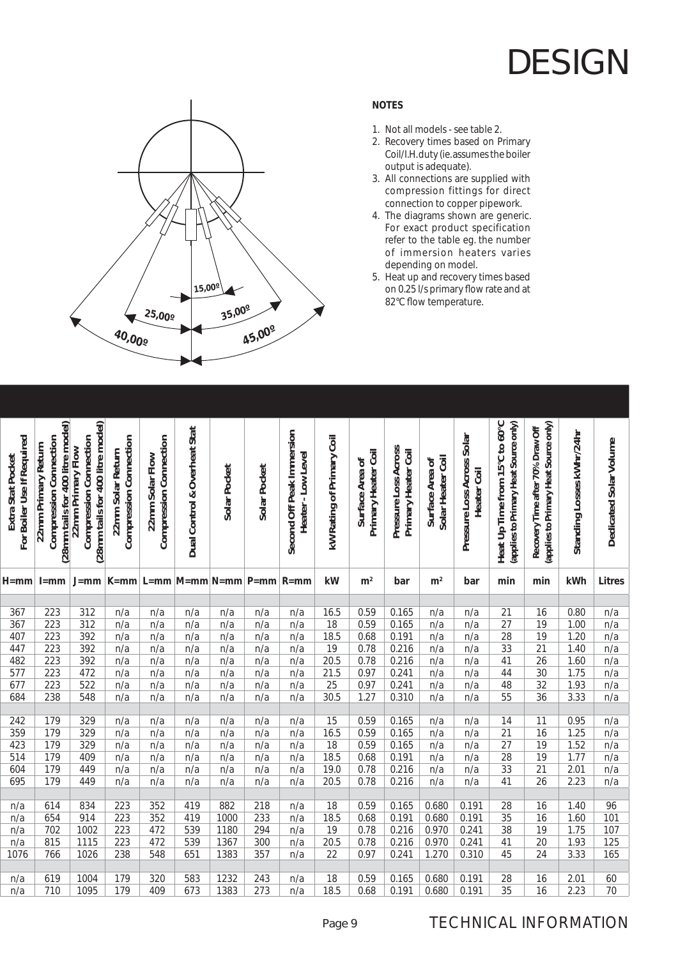

### **NOTES**

- 1. Not all models see table 2.
- 2. Recovery times based on Primary Coil/I.H. duty (ie. assumes the boiler output is adequate).
- 3. All connections are supplied with compression fittings for direct connection to copper pipework.
- 4. The diagrams shown are generic. For exact product specification refer to the table eg. the number of immersion heaters varies depending on model.
- 5. Heat up and recovery times based on 0.25 l/s primary flow rate and at 82°C flow temperature.

| For Boiler Use If Required<br>Extra Stat Pocket | (28mm tails for 400 litre model)<br><b>Compression Connection</b><br>22mm Primary Return | (28mm tails for 400 litre model)<br>Compression Connection<br>22mm Primary Flow | Compression Connection<br>22mm Solar Return | Compression Connection<br>22mm Solar Flow | Dual Control & Overheat Stat | Solar Pocket | Solar Pocket | Second Off Peak Immersion<br>Heater-Low Level | kW Rating of Primary Coil | Primary Heater Coil<br>ัธ<br>Surface Area | Pressure Loss Across<br>Primary Heater Coil | Solar Heater Coil<br>Surface Area of | Pressure Loss Across Solar<br>Heater Coil | Heat Up Time from 15°C to 60°C<br>(applies to Primary Heat Source only) | (applies to Primary Heat Source only)<br>Recovery Time after 70% Draw Off | Standing Losses kWhr/24hr | Dedicated Solar Volume |
|-------------------------------------------------|------------------------------------------------------------------------------------------|---------------------------------------------------------------------------------|---------------------------------------------|-------------------------------------------|------------------------------|--------------|--------------|-----------------------------------------------|---------------------------|-------------------------------------------|---------------------------------------------|--------------------------------------|-------------------------------------------|-------------------------------------------------------------------------|---------------------------------------------------------------------------|---------------------------|------------------------|
| H=mml                                           | $l = mm$                                                                                 | $J = mm$                                                                        |                                             |                                           | $K=mm$ L=mm $M=mm$ N=mm P=mm |              |              | $R = mm$                                      | kW                        | m <sup>2</sup>                            | bar                                         | m <sup>2</sup>                       | bar                                       | min                                                                     | min                                                                       | kWh                       | <b>Litres</b>          |
|                                                 |                                                                                          |                                                                                 |                                             |                                           |                              |              |              |                                               |                           |                                           |                                             |                                      |                                           |                                                                         |                                                                           |                           |                        |
| 367                                             | 223                                                                                      | 312                                                                             | n/a                                         | n/a                                       | n/a                          | n/a          | n/a          | n/a                                           | 16.5                      | 0.59                                      | 0.165                                       | n/a                                  | n/a                                       | 21                                                                      | 16                                                                        | 0.80                      | n/a                    |
| 367                                             | 223                                                                                      | 312                                                                             | n/a                                         | n/a                                       | n/a                          | n/a          | n/a          | n/a                                           | 18                        | 0.59                                      | 0.165                                       | n/a                                  | n/a                                       | 27                                                                      | 19                                                                        | 1.00                      | n/a                    |
| 407                                             | 223                                                                                      | 392                                                                             | n/a                                         | n/a                                       | n/a                          | n/a          | n/a          | n/a                                           | 18.5                      | 0.68                                      | 0.191                                       | n/a                                  | n/a                                       | 28                                                                      | 19                                                                        | 1.20                      | n/a                    |
| 447                                             | 223                                                                                      | 392                                                                             | n/a                                         | n/a                                       | n/a                          | n/a          | n/a          | n/a                                           | 19                        | 0.78                                      | 0.216                                       | n/a                                  | n/a                                       | 33                                                                      | $\overline{21}$                                                           | 1.40                      | n/a                    |
| 482                                             | $\overline{223}$                                                                         | 392                                                                             | n/a                                         | n/a                                       | n/a                          | n/a          | n/a          | n/a                                           | 20.5                      | 0.78                                      | 0.216                                       | n/a                                  | n/a                                       | 41                                                                      | 26                                                                        | 1.60                      | n/a                    |
| 577                                             | 223                                                                                      | 472                                                                             | n/a                                         | n/a                                       | n/a                          | n/a          | n/a          | n/a                                           | 21.5                      | 0.97                                      | 0.241                                       | n/a                                  | n/a                                       | 44                                                                      | 30                                                                        | 1.75                      | n/a                    |
| 677                                             | 223                                                                                      | 522                                                                             | n/a                                         | n/a                                       | n/a                          | n/a          | n/a          | n/a                                           | 25                        | 0.97                                      | 0.241                                       | n/a                                  | n/a                                       | 48                                                                      | $\overline{32}$                                                           | 1.93                      | n/a                    |
| 684                                             | 238                                                                                      | 548                                                                             | n/a                                         | n/a                                       | n/a                          | n/a          | n/a          | n/a                                           | 30.5                      | 1.27                                      | 0.310                                       | n/a                                  | n/a                                       | 55                                                                      | $\overline{36}$                                                           | 3.33                      | n/a                    |
| 242                                             | 179                                                                                      | 329                                                                             |                                             |                                           |                              |              |              |                                               | 15                        | 0.59                                      | 0.165                                       | n/a                                  |                                           | 14                                                                      | 11                                                                        | 0.95                      |                        |
| 359                                             | 179                                                                                      | 329                                                                             | n/a<br>n/a                                  | n/a                                       | n/a                          | n/a          | n/a          | n/a                                           | 16.5                      | 0.59                                      | 0.165                                       |                                      | n/a                                       | 21                                                                      | 16                                                                        | 1.25                      | n/a<br>n/a             |
| 423                                             | 179                                                                                      | 329                                                                             | n/a                                         | n/a                                       | n/a                          | n/a          | n/a          | n/a                                           | 18                        | 0.59                                      | 0.165                                       | n/a                                  | n/a                                       | 27                                                                      | 19                                                                        | 1.52                      |                        |
| 514                                             | 179                                                                                      | 409                                                                             | n/a                                         | n/a<br>n/a                                | n/a<br>n/a                   | n/a<br>n/a   | n/a<br>n/a   | n/a<br>n/a                                    | 18.5                      | 0.68                                      | 0.191                                       | n/a<br>n/a                           | n/a<br>n/a                                | $\overline{28}$                                                         | $\overline{19}$                                                           | 1.77                      | n/a<br>n/a             |
| 604                                             | 179                                                                                      | 449                                                                             | n/a                                         | n/a                                       | n/a                          | n/a          | n/a          | n/a                                           | 19.0                      | 0.78                                      | 0.216                                       | n/a                                  | n/a                                       | 33                                                                      | 21                                                                        | 2.01                      | n/a                    |
| 695                                             | 179                                                                                      | 449                                                                             | n/a                                         | n/a                                       | n/a                          | n/a          | n/a          | n/a                                           | 20.5                      | 0.78                                      | 0.216                                       | n/a                                  | n/a                                       | 41                                                                      | $\overline{26}$                                                           | 2.23                      | n/a                    |
|                                                 |                                                                                          |                                                                                 |                                             |                                           |                              |              |              |                                               |                           |                                           |                                             |                                      |                                           |                                                                         |                                                                           |                           |                        |
| n/a                                             | 614                                                                                      | 834                                                                             | 223                                         | 352                                       | 419                          | 882          | 218          | n/a                                           | 18                        | 0.59                                      | 0.165                                       | 0.680                                | 0.191                                     | 28                                                                      | 16                                                                        | 1.40                      | 96                     |
| n/a                                             | 654                                                                                      | 914                                                                             | 223                                         | 352                                       | 419                          | 1000         | 233          | n/a                                           | 18.5                      | 0.68                                      | 0.191                                       | 0.680                                | 0.191                                     | 35                                                                      | 16                                                                        | 1.60                      | 101                    |
| n/a                                             | 702                                                                                      | 1002                                                                            | 223                                         | 472                                       | 539                          | 1180         | 294          | n/a                                           | 19                        | 0.78                                      | 0.216                                       | 0.970                                | 0.241                                     | 38                                                                      | 19                                                                        | 1.75                      | 107                    |
| n/a                                             | 815                                                                                      | 1115                                                                            | 223                                         | 472                                       | 539                          | 1367         | 300          | n/a                                           | 20.5                      | 0.78                                      | 0.216                                       | 0.970                                | 0.241                                     | 41                                                                      | 20                                                                        | 1.93                      | 125                    |
| 1076                                            | 766                                                                                      | 1026                                                                            | 238                                         | 548                                       | 651                          | 1383         | 357          | n/a                                           | 22                        | 0.97                                      | 0.241                                       | 1.270                                | 0.310                                     | 45                                                                      | 24                                                                        | 3.33                      | 165                    |
|                                                 |                                                                                          |                                                                                 |                                             |                                           |                              |              |              |                                               |                           |                                           |                                             |                                      |                                           |                                                                         |                                                                           |                           |                        |
| n/a                                             | 619                                                                                      | 1004                                                                            | 179                                         | 320                                       | 583                          | 1232         | 243          | n/a                                           | 18                        | 0.59                                      | 0.165                                       | 0.680                                | 0.191                                     | 28                                                                      | 16                                                                        | 2.01                      | 60                     |
| n/a                                             | 710                                                                                      | 1095                                                                            | 179                                         | 409                                       | 673                          | 1383         | 273          | n/a                                           | 18.5                      | 0.68                                      | 0.191                                       | 0.680                                | 0.191                                     | $\overline{35}$                                                         | $\overline{16}$                                                           | 2.23                      | $\overline{70}$        |
|                                                 |                                                                                          |                                                                                 |                                             |                                           |                              |              |              |                                               |                           |                                           |                                             |                                      |                                           |                                                                         |                                                                           |                           |                        |

### TECHNICAL INFORMATION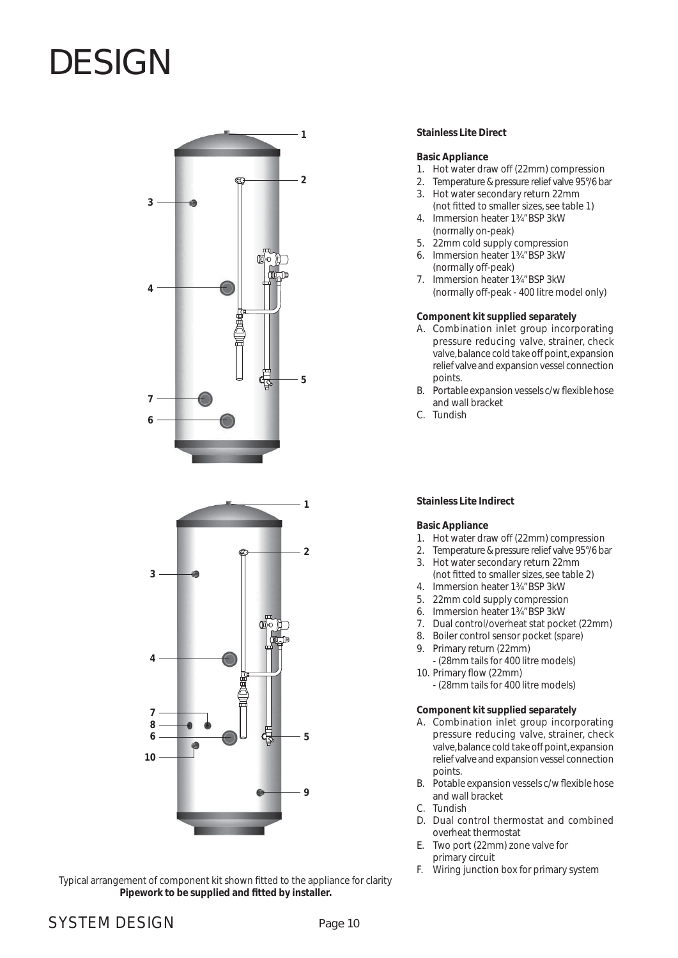



Typical arrangement of component kit shown fitted to the appliance for clarity Pipework to be supplied and fitted by installer.

#### **Stainless Lite Direct**

#### **Basic Appliance**

- 1. Hot water draw off (22mm) compression
- 2. Temperature & pressure relief valve 95°/6 bar
- 3. Hot water secondary return 22mm
- (not fitted to smaller sizes, see table 1) 4. Immersion heater 1¾" BSP 3kW
- (normally on-peak) 5. 22mm cold supply compression
- 6. Immersion heater 1¾" BSP 3kW
- (normally off-peak) 7. Immersion heater 1¾" BSP 3kW (normally off-peak - 400 litre model only)

#### **Component kit supplied separately**

- A. Combination inlet group incorporating pressure reducing valve, strainer, check valve, balance cold take off point, expansion relief valve and expansion vessel connection points.
- B. Portable expansion vessels c/w flexible hose and wall bracket
- C. Tundish

#### **Stainless Lite Indirect**

#### **Basic Appliance**

- 1. Hot water draw off (22mm) compression
- 2. Temperature & pressure relief valve 95°/6 bar
- 3. Hot water secondary return 22mm (not fitted to smaller sizes, see table 2)
- 4. Immersion heater 1¾" BSP 3kW
- 5. 22mm cold supply compression
- 6. Immersion heater 1¾" BSP 3kW
- 7. Dual control/overheat stat pocket (22mm)
- 8. Boiler control sensor pocket (spare)
- 9. Primary return (22mm)
- (28mm tails for 400 litre models) 10. Primary flow (22mm)
	- (28mm tails for 400 litre models)

#### **Component kit supplied separately**

- A. Combination inlet group incorporating pressure reducing valve, strainer, check valve, balance cold take off point, expansion relief valve and expansion vessel connection points.
- B. Potable expansion vessels c/w flexible hose and wall bracket
- C. Tundish
- D. Dual control thermostat and combined overheat thermostat
- E. Two port (22mm) zone valve for primary circuit
- F. Wiring junction box for primary system

### SYSTEM DESIGN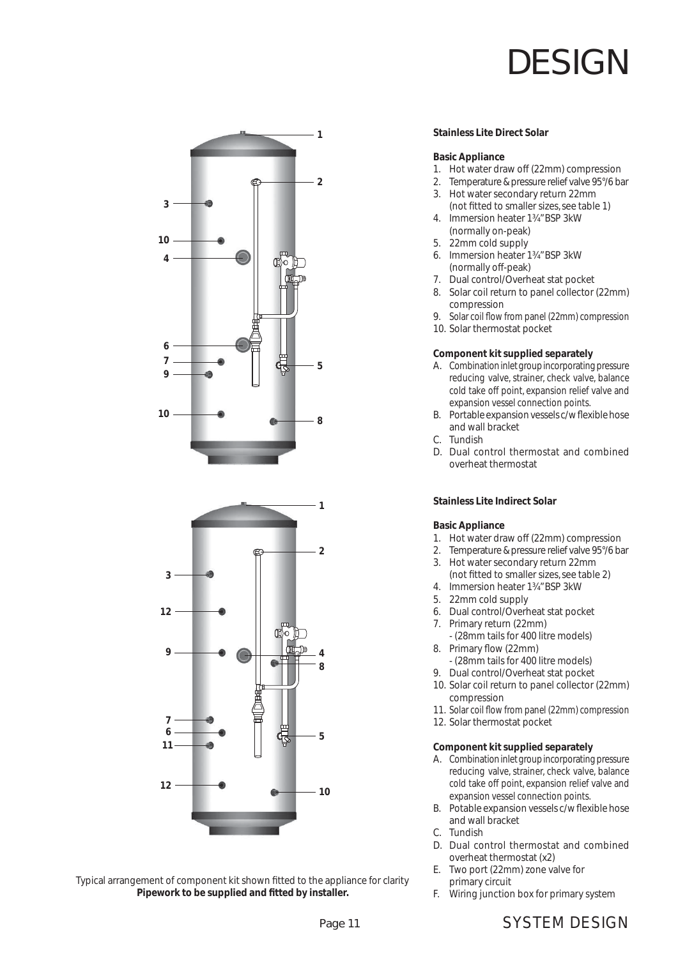



Typical arrangement of component kit shown fitted to the appliance for clarity Pipework to be supplied and fitted by installer.

#### **Stainless Lite Direct Solar**

#### **Basic Appliance**

- 1. Hot water draw off (22mm) compression
- 2. Temperature & pressure relief valve 95°/6 bar
- 3. Hot water secondary return 22mm (not fitted to smaller sizes, see table 1)
- 4. Immersion heater 1¾" BSP 3kW (normally on-peak)
- 5. 22mm cold supply
- 6. Immersion heater 1¾" BSP 3kW (normally off-peak)
- 7. Dual control/Overheat stat pocket
- 8. Solar coil return to panel collector (22mm) compression
- 9. Solar coil flow from panel (22mm) compression
- 10. Solar thermostat pocket

#### **Component kit supplied separately**

- A. Combination inlet group incorporating pressure reducing valve, strainer, check valve, balance cold take off point, expansion relief valve and expansion vessel connection points.
- B. Portable expansion vessels c/w flexible hose and wall bracket
- C. Tundish
- D. Dual control thermostat and combined overheat thermostat

#### **Stainless Lite Indirect Solar**

#### **Basic Appliance**

- 1. Hot water draw off (22mm) compression
- 2. Temperature & pressure relief valve 95°/6 bar
- 3. Hot water secondary return 22mm (not fitted to smaller sizes, see table 2)
- 4. Immersion heater 1¾" BSP 3kW
- 5. 22mm cold supply
- 6. Dual control/Overheat stat pocket
- 7. Primary return (22mm) - (28mm tails for 400 litre models)
- 8. Primary flow (22mm)
	- (28mm tails for 400 litre models)
- 9. Dual control/Overheat stat pocket
- 10. Solar coil return to panel collector (22mm) compression
- 11. Solar coil flow from panel (22mm) compression
- 12. Solar thermostat pocket

#### **Component kit supplied separately**

- A. Combination inlet group incorporating pressure reducing valve, strainer, check valve, balance cold take off point, expansion relief valve and expansion vessel connection points.
- B. Potable expansion vessels c/w flexible hose and wall bracket
- C. Tundish
- D. Dual control thermostat and combined overheat thermostat (x2)
- E. Two port (22mm) zone valve for primary circuit
- F. Wiring junction box for primary system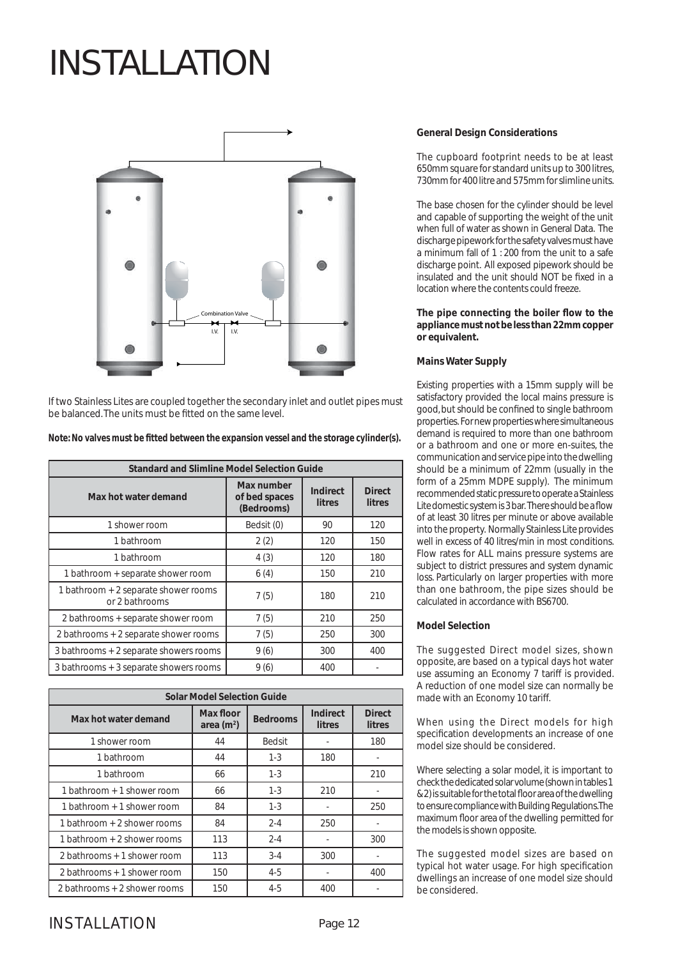

If two Stainless Lites are coupled together the secondary inlet and outlet pipes must be balanced. The units must be fitted on the same level.

| Note: No valves must be fitted between the expansion vessel and the storage cylinder(s). |  |  |
|------------------------------------------------------------------------------------------|--|--|
|                                                                                          |  |  |

| <b>Standard and Slimline Model Selection Guide</b>     |                                           |                                  |                                |  |  |  |  |  |  |  |
|--------------------------------------------------------|-------------------------------------------|----------------------------------|--------------------------------|--|--|--|--|--|--|--|
| Max hot water demand                                   | Max number<br>of bed spaces<br>(Bedrooms) | <b>Indirect</b><br><b>litres</b> | <b>Direct</b><br><b>litres</b> |  |  |  |  |  |  |  |
| 1 shower room                                          | Bedsit (0)                                | 90                               | 120                            |  |  |  |  |  |  |  |
| 1 bathroom                                             | 2(2)                                      | 120                              | 150                            |  |  |  |  |  |  |  |
| 1 bathroom                                             | 4(3)                                      | 120                              | 180                            |  |  |  |  |  |  |  |
| 1 bathroom + separate shower room                      | 6(4)                                      | 150                              | 210                            |  |  |  |  |  |  |  |
| 1 bathroom + 2 separate shower rooms<br>or 2 bathrooms | 7(5)                                      | 180                              | 210                            |  |  |  |  |  |  |  |
| 2 bathrooms + separate shower room                     | 7(5)                                      | 210                              | 250                            |  |  |  |  |  |  |  |
| 2 bathrooms + 2 separate shower rooms                  | 7(5)                                      | 250                              | 300                            |  |  |  |  |  |  |  |
| 3 bathrooms + 2 separate showers rooms                 | 9(6)                                      | 300                              | 400                            |  |  |  |  |  |  |  |
| 3 bathrooms + 3 separate showers rooms                 | 9(6)                                      | 400                              |                                |  |  |  |  |  |  |  |

| <b>Solar Model Selection Guide</b> |                                 |                 |                                  |                                |  |  |  |  |  |  |
|------------------------------------|---------------------------------|-----------------|----------------------------------|--------------------------------|--|--|--|--|--|--|
| Max hot water demand               | <b>Max floor</b><br>area $(m2)$ | <b>Bedrooms</b> | <b>Indirect</b><br><b>litres</b> | <b>Direct</b><br><b>litres</b> |  |  |  |  |  |  |
| 1 shower room                      | 44                              | <b>Bedsit</b>   |                                  | 180                            |  |  |  |  |  |  |
| 1 bathroom                         | 44                              | $1 - 3$         | 180                              |                                |  |  |  |  |  |  |
| 1 bathroom                         | 66                              | $1 - 3$         |                                  | 210                            |  |  |  |  |  |  |
| 1 bathroom + 1 shower room         | 66                              | $1 - 3$         | 210                              |                                |  |  |  |  |  |  |
| 1 bathroom + 1 shower room         | 84                              | $1 - 3$         |                                  | 250                            |  |  |  |  |  |  |
| 1 bathroom + 2 shower rooms        | 84                              | $2 - 4$         | 250                              |                                |  |  |  |  |  |  |
| 1 bathroom + 2 shower rooms        | 113                             | $2 - 4$         |                                  | 300                            |  |  |  |  |  |  |
| 2 bathrooms + 1 shower room        | 113                             | $3-4$           | 300                              |                                |  |  |  |  |  |  |
| 2 bathrooms + 1 shower room        | 150                             | $4-5$           |                                  | 400                            |  |  |  |  |  |  |
| 2 bathrooms + 2 shower rooms       | 150                             | $4 - 5$         | 400                              |                                |  |  |  |  |  |  |

#### **General Design Considerations**

The cupboard footprint needs to be at least 650mm square for standard units up to 300 litres, 730mm for 400 litre and 575mm for slimline units.

The base chosen for the cylinder should be level and capable of supporting the weight of the unit when full of water as shown in General Data. The discharge pipework for the safety valves must have a minimum fall of 1 : 200 from the unit to a safe discharge point. All exposed pipework should be insulated and the unit should NOT be fixed in a location where the contents could freeze.

#### The pipe connecting the boiler flow to the **appliance must not be less than 22mm copper or equivalent.**

#### **Mains Water Supply**

Existing properties with a 15mm supply will be satisfactory provided the local mains pressure is good, but should be confined to single bathroom properties. For new properties where simultaneous demand is required to more than one bathroom or a bathroom and one or more en-suites, the communication and service pipe into the dwelling should be a minimum of 22mm (usually in the form of a 25mm MDPE supply). The minimum recommended static pressure to operate a Stainless Lite domestic system is 3 bar. There should be a flow of at least 30 litres per minute or above available into the property. Normally Stainless Lite provides well in excess of 40 litres/min in most conditions. Flow rates for ALL mains pressure systems are subject to district pressures and system dynamic loss. Particularly on larger properties with more than one bathroom, the pipe sizes should be calculated in accordance with BS6700.

#### **Model Selection**

The suggested Direct model sizes, shown opposite, are based on a typical days hot water use assuming an Economy 7 tariff is provided. A reduction of one model size can normally be made with an Economy 10 tariff.

When using the Direct models for high specification developments an increase of one model size should be considered.

Where selecting a solar model, it is important to check the dedicated solar volume (shown in tables 1 & 2) is suitable for the total floor area of the dwelling to ensure compliance with Building Regulations. The maximum floor area of the dwelling permitted for the models is shown opposite.

The suggested model sizes are based on typical hot water usage. For high specification dwellings an increase of one model size should be considered.

### INSTALL ATION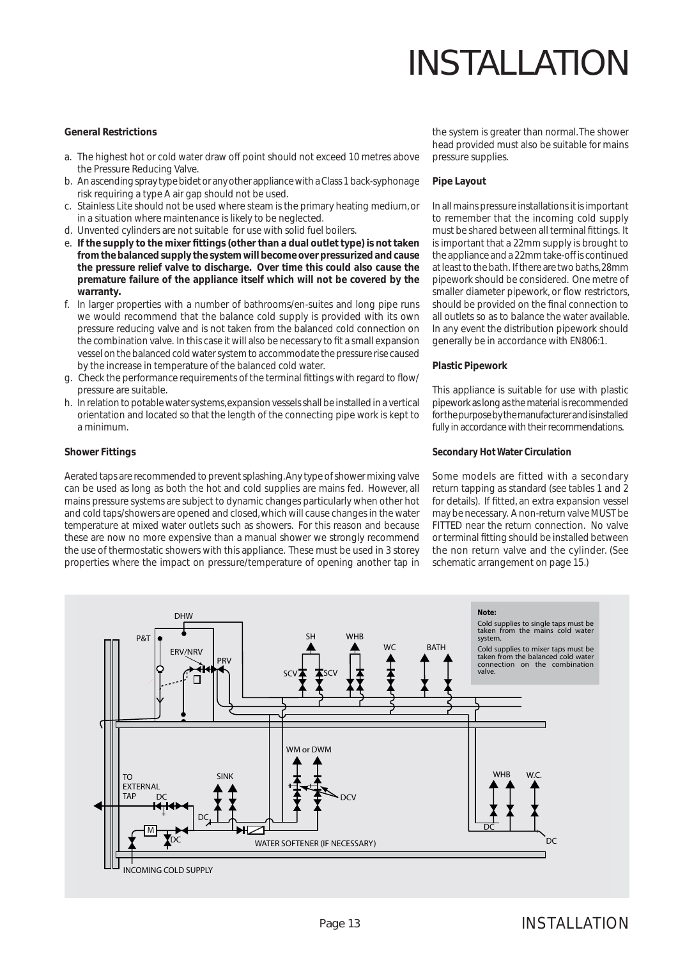#### **General Restrictions**

- a. The highest hot or cold water draw off point should not exceed 10 metres above the Pressure Reducing Valve.
- b. An ascending spray type bidet or any other appliance with a Class 1 back-syphonage risk requiring a type A air gap should not be used.
- c. Stainless Lite should not be used where steam is the primary heating medium, or in a situation where maintenance is likely to be neglected.
- d. Unvented cylinders are not suitable for use with solid fuel boilers.
- e. If the supply to the mixer fittings (other than a dual outlet type) is not taken **from the balanced supply the system will become over pressurized and cause the pressure relief valve to discharge. Over time this could also cause the premature failure of the appliance itself which will not be covered by the warranty.**
- f. In larger properties with a number of bathrooms/en-suites and long pipe runs we would recommend that the balance cold supply is provided with its own pressure reducing valve and is not taken from the balanced cold connection on the combination valve. In this case it will also be necessary to fit a small expansion vessel on the balanced cold water system to accommodate the pressure rise caused by the increase in temperature of the balanced cold water.
- g. Check the performance requirements of the terminal fittings with regard to flow/ pressure are suitable.
- h. In relation to potable water systems, expansion vessels shall be installed in a vertical orientation and located so that the length of the connecting pipe work is kept to a minimum.

#### **Shower Fittings**

Aerated taps are recommended to prevent splashing. Any type of shower mixing valve can be used as long as both the hot and cold supplies are mains fed. However, all mains pressure systems are subject to dynamic changes particularly when other hot and cold taps/showers are opened and closed, which will cause changes in the water temperature at mixed water outlets such as showers. For this reason and because these are now no more expensive than a manual shower we strongly recommend the use of thermostatic showers with this appliance. These must be used in 3 storey properties where the impact on pressure/temperature of opening another tap in

the system is greater than normal. The shower head provided must also be suitable for mains pressure supplies.

#### **Pipe Layout**

In all mains pressure installations it is important to remember that the incoming cold supply must be shared between all terminal fittings. It is important that a 22mm supply is brought to the appliance and a 22mm take-off is continued at least to the bath. If there are two baths, 28mm pipework should be considered. One metre of smaller diameter pipework, or flow restrictors, should be provided on the final connection to all outlets so as to balance the water available. In any event the distribution pipework should generally be in accordance with EN806:1.

#### **Plastic Pipework**

This appliance is suitable for use with plastic pipework as long as the material is recommended for the purpose by the manufacturer and is installed fully in accordance with their recommendations.

#### **Secondary Hot Water Circulation**

Some models are fitted with a secondary return tapping as standard (see tables 1 and 2 for details). If fitted, an extra expansion vessel may be necessary. A non-return valve MUST be FITTED near the return connection. No valve or terminal fitting should be installed between the non return valve and the cylinder. (See schematic arrangement on page 15.)

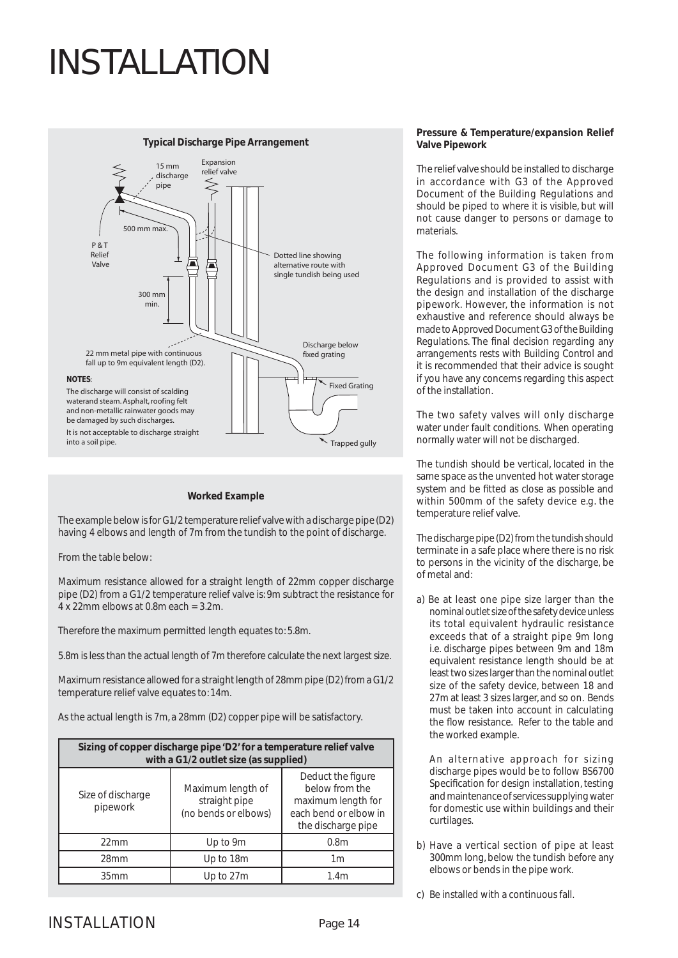

#### **Worked Example**

The example below is for G1/2 temperature relief valve with a discharge pipe (D2) having 4 elbows and length of 7m from the tundish to the point of discharge.

From the table below:

Maximum resistance allowed for a straight length of 22mm copper discharge pipe (D2) from a G1/2 temperature relief valve is: 9m subtract the resistance for  $4 \times 22$ mm elbows at 0.8m each = 3.2m.

Therefore the maximum permitted length equates to: 5.8m.

5.8m is less than the actual length of 7m therefore calculate the next largest size.

Maximum resistance allowed for a straight length of 28mm pipe (D2) from a G1/2 temperature relief valve equates to: 14m.

As the actual length is 7m, a 28mm (D2) copper pipe will be satisfactory.

| Sizing of copper discharge pipe 'D2' for a temperature relief valve<br>with a G1/2 outlet size (as supplied) |                                                            |                                                                                                          |  |  |  |  |  |  |  |  |
|--------------------------------------------------------------------------------------------------------------|------------------------------------------------------------|----------------------------------------------------------------------------------------------------------|--|--|--|--|--|--|--|--|
| Size of discharge<br>pipework                                                                                | Maximum length of<br>straight pipe<br>(no bends or elbows) | Deduct the figure<br>below from the<br>maximum length for<br>each bend or elbow in<br>the discharge pipe |  |  |  |  |  |  |  |  |
| 22mm                                                                                                         | Up to 9m                                                   | 0.8 <sub>m</sub>                                                                                         |  |  |  |  |  |  |  |  |
| 28mm                                                                                                         | Up to 18m                                                  | 1m                                                                                                       |  |  |  |  |  |  |  |  |
| 35mm                                                                                                         | Up to 27m                                                  | 1.4 <sub>m</sub>                                                                                         |  |  |  |  |  |  |  |  |

#### **Pressure & Temperature/expansion Relief Valve Pipework**

The relief valve should be installed to discharge in accordance with G3 of the Approved Document of the Building Regulations and should be piped to where it is visible, but will not cause danger to persons or damage to materials.

The following information is taken from Approved Document G3 of the Building Regulations and is provided to assist with the design and installation of the discharge pipework. However, the information is not exhaustive and reference should always be made to Approved Document G3 of the Building Regulations. The final decision regarding any arrangements rests with Building Control and it is recommended that their advice is sought if you have any concerns regarding this aspect of the installation.

The two safety valves will only discharge water under fault conditions. When operating normally water will not be discharged.

The tundish should be vertical, located in the same space as the unvented hot water storage system and be fitted as close as possible and within 500mm of the safety device e.g. the temperature relief valve.

The discharge pipe (D2) from the tundish should terminate in a safe place where there is no risk to persons in the vicinity of the discharge, be of metal and:

a) Be at least one pipe size larger than the nominal outlet size of the safety device unless its total equivalent hydraulic resistance exceeds that of a straight pipe 9m long i.e. discharge pipes between 9m and 18m equivalent resistance length should be at least two sizes larger than the nominal outlet size of the safety device, between 18 and 27m at least 3 sizes larger, and so on. Bends must be taken into account in calculating the flow resistance. Refer to the table and the worked example.

 An alternative approach for sizing discharge pipes would be to follow BS6700 Specification for design installation, testing and maintenance of services supplying water for domestic use within buildings and their curtilages.

- b) Have a vertical section of pipe at least 300mm long, below the tundish before any elbows or bends in the pipe work.
- c) Be installed with a continuous fall.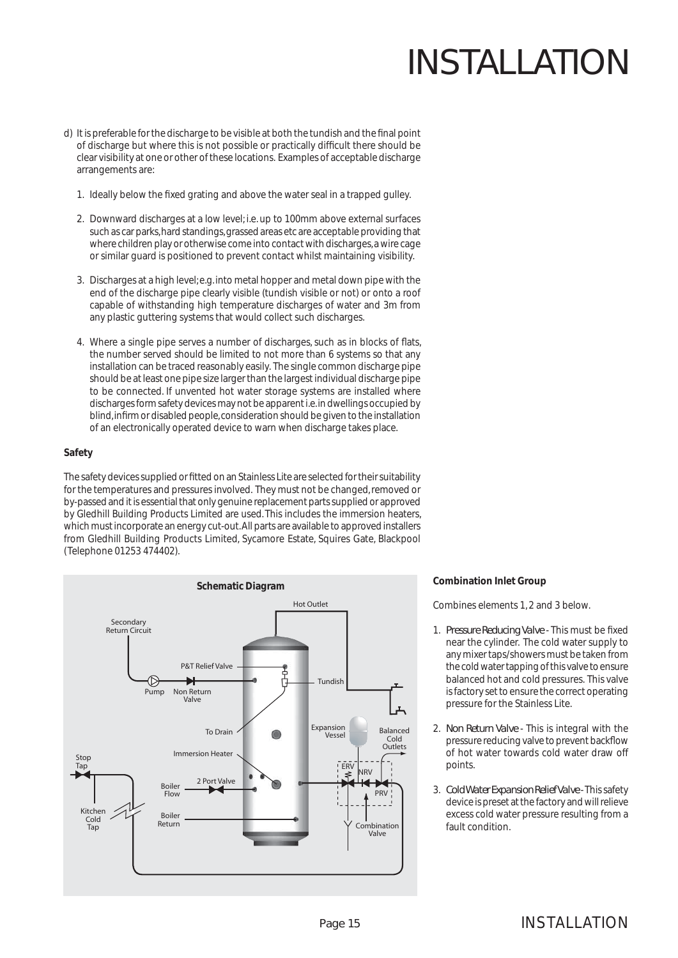- d) It is preferable for the discharge to be visible at both the tundish and the final point of discharge but where this is not possible or practically difficult there should be clear visibility at one or other of these locations. Examples of acceptable discharge arrangements are:
	- 1. Ideally below the fixed grating and above the water seal in a trapped gulley.
	- 2. Downward discharges at a low level; i.e. up to 100mm above external surfaces such as car parks, hard standings, grassed areas etc are acceptable providing that where children play or otherwise come into contact with discharges, a wire cage or similar guard is positioned to prevent contact whilst maintaining visibility.
	- 3. Discharges at a high level; e.g. into metal hopper and metal down pipe with the end of the discharge pipe clearly visible (tundish visible or not) or onto a roof capable of withstanding high temperature discharges of water and 3m from any plastic guttering systems that would collect such discharges.
	- 4. Where a single pipe serves a number of discharges, such as in blocks of flats, the number served should be limited to not more than 6 systems so that any installation can be traced reasonably easily. The single common discharge pipe should be at least one pipe size larger than the largest individual discharge pipe to be connected. If unvented hot water storage systems are installed where discharges form safety devices may not be apparent i.e. in dwellings occupied by blind, infirm or disabled people, consideration should be given to the installation of an electronically operated device to warn when discharge takes place.

#### **Safety**

The safety devices supplied or fitted on an Stainless Lite are selected for their suitability for the temperatures and pressures involved. They must not be changed, removed or by-passed and it is essential that only genuine replacement parts supplied or approved by Gledhill Building Products Limited are used. This includes the immersion heaters, which must incorporate an energy cut-out. All parts are available to approved installers from Gledhill Building Products Limited, Sycamore Estate, Squires Gate, Blackpool (Telephone 01253 474402).



#### **Combination Inlet Group**

Combines elements 1, 2 and 3 below.

- 1. Pressure Reducing Valve This must be fixed near the cylinder. The cold water supply to any mixer taps/showers must be taken from the cold water tapping of this valve to ensure balanced hot and cold pressures. This valve is factory set to ensure the correct operating pressure for the Stainless Lite.
- 2. *Non Return Valve*  This is integral with the pressure reducing valve to prevent backflow of hot water towards cold water draw off points.
- 3. *Cold Water Expansion Relief Valve* This safety device is preset at the factory and will relieve excess cold water pressure resulting from a fault condition.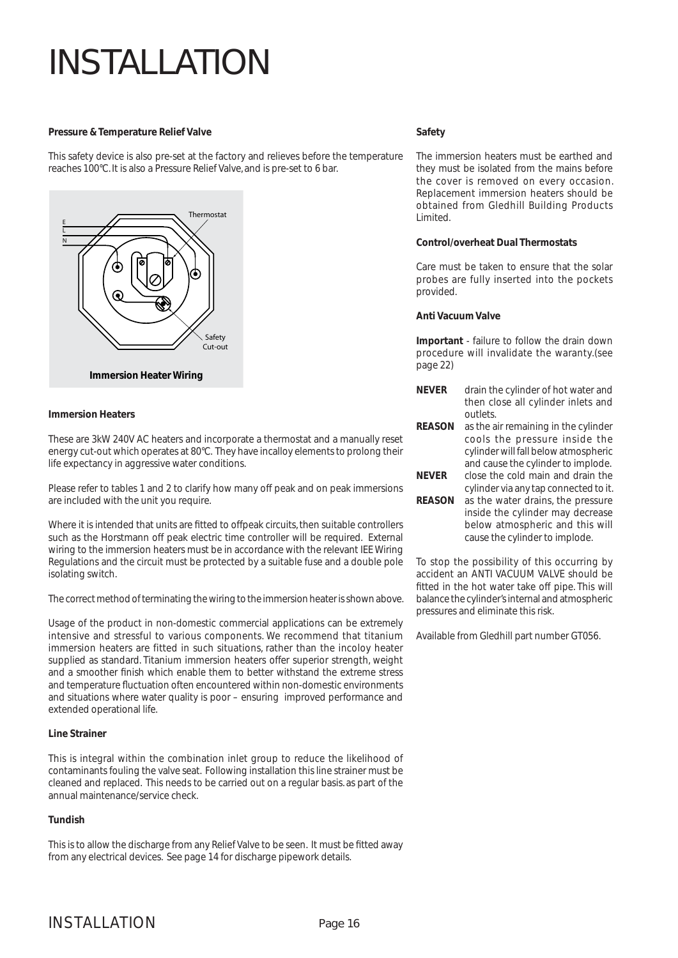#### **Pressure & Temperature Relief Valve**

This safety device is also pre-set at the factory and relieves before the temperature reaches 100°C. It is also a Pressure Relief Valve, and is pre-set to 6 bar.



#### **Immersion Heaters**

These are 3kW 240V AC heaters and incorporate a thermostat and a manually reset energy cut-out which operates at 80°C. They have incalloy elements to prolong their life expectancy in aggressive water conditions.

Please refer to tables 1 and 2 to clarify how many off peak and on peak immersions are included with the unit you require.

Where it is intended that units are fitted to offpeak circuits, then suitable controllers such as the Horstmann off peak electric time controller will be required. External wiring to the immersion heaters must be in accordance with the relevant IEE Wiring Regulations and the circuit must be protected by a suitable fuse and a double pole isolating switch.

The correct method of terminating the wiring to the immersion heater is shown above.

Usage of the product in non-domestic commercial applications can be extremely intensive and stressful to various components. We recommend that titanium immersion heaters are fitted in such situations, rather than the incoloy heater supplied as standard. Titanium immersion heaters offer superior strength, weight and a smoother finish which enable them to better withstand the extreme stress and temperature fluctuation often encountered within non-domestic environments and situations where water quality is poor – ensuring improved performance and extended operational life.

#### **Line Strainer**

This is integral within the combination inlet group to reduce the likelihood of contaminants fouling the valve seat. Following installation this line strainer must be cleaned and replaced. This needs to be carried out on a regular basis. as part of the annual maintenance/service check.

### **Tundish**

This is to allow the discharge from any Relief Valve to be seen. It must be fitted away from any electrical devices. See page 14 for discharge pipework details.

#### **Safety**

The immersion heaters must be earthed and they must be isolated from the mains before the cover is removed on every occasion. Replacement immersion heaters should be obtained from Gledhill Building Products Limited.

#### **Control/overheat Dual Thermostats**

Care must be taken to ensure that the solar probes are fully inserted into the pockets provided.

#### **Anti Vacuum Valve**

**Important** - failure to follow the drain down procedure will invalidate the waranty.(see page 22)

- **NEVER** drain the cylinder of hot water and then close all cylinder inlets and outlets.
- **REASON** as the air remaining in the cylinder cools the pressure inside the cylinder will fall below atmospheric and cause the cylinder to implode. **NEVER** close the cold main and drain the cylinder via any tap connected to it. **REASON** as the water drains, the pressure inside the cylinder may decrease below atmospheric and this will cause the cylinder to implode.

To stop the possibility of this occurring by accident an ANTI VACUUM VALVE should be fitted in the hot water take off pipe. This will balance the cylinder's internal and atmospheric pressures and eliminate this risk.

Available from Gledhill part number GT056.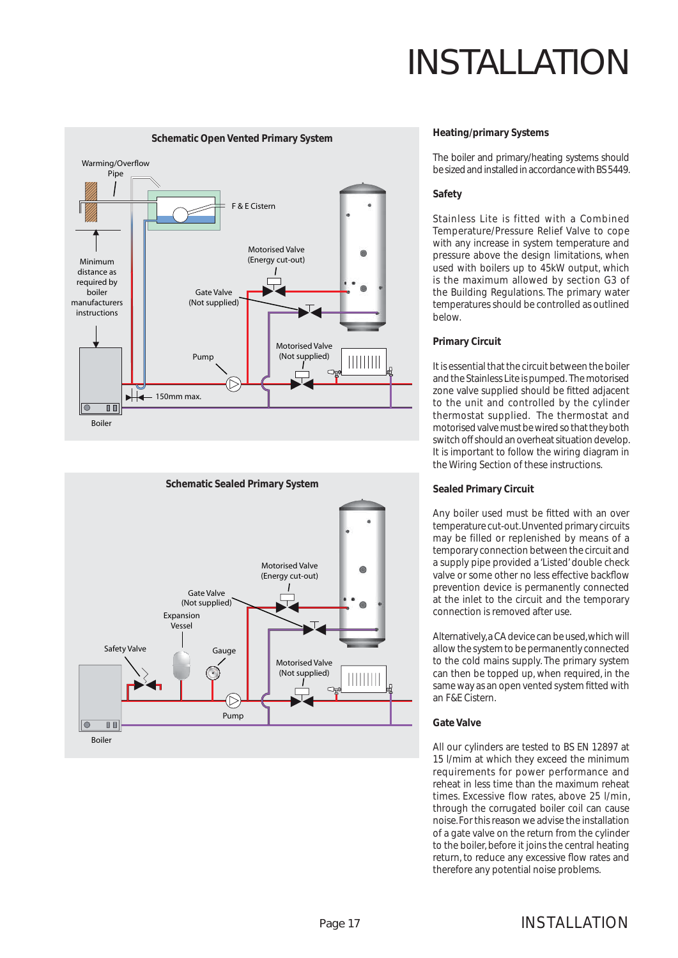



#### **Heating/primary Systems**

The boiler and primary/heating systems should be sized and installed in accordance with BS 5449.

#### **Safety**

Stainless Lite is fitted with a Combined Temperature/Pressure Relief Valve to cope with any increase in system temperature and pressure above the design limitations, when used with boilers up to 45kW output, which is the maximum allowed by section G3 of the Building Regulations. The primary water temperatures should be controlled as outlined below.

#### **Primary Circuit**

It is essential that the circuit between the boiler and the Stainless Lite is pumped. The motorised zone valve supplied should be fitted adjacent to the unit and controlled by the cylinder thermostat supplied. The thermostat and motorised valve must be wired so that they both switch off should an overheat situation develop. It is important to follow the wiring diagram in the Wiring Section of these instructions.

#### **Sealed Primary Circuit**

Any boiler used must be fitted with an over temperature cut-out. Unvented primary circuits may be filled or replenished by means of a temporary connection between the circuit and a supply pipe provided a 'Listed' double check valve or some other no less effective backflow prevention device is permanently connected at the inlet to the circuit and the temporary connection is removed after use.

Alternatively, a CA device can be used, which will allow the system to be permanently connected to the cold mains supply. The primary system can then be topped up, when required, in the same way as an open vented system fitted with an F&E Cistern.

#### **Gate Valve**

All our cylinders are tested to BS EN 12897 at 15 l/mim at which they exceed the minimum requirements for power performance and reheat in less time than the maximum reheat times. Excessive flow rates, above 25 l/min, through the corrugated boiler coil can cause noise. For this reason we advise the installation of a gate valve on the return from the cylinder to the boiler, before it joins the central heating return, to reduce any excessive flow rates and therefore any potential noise problems.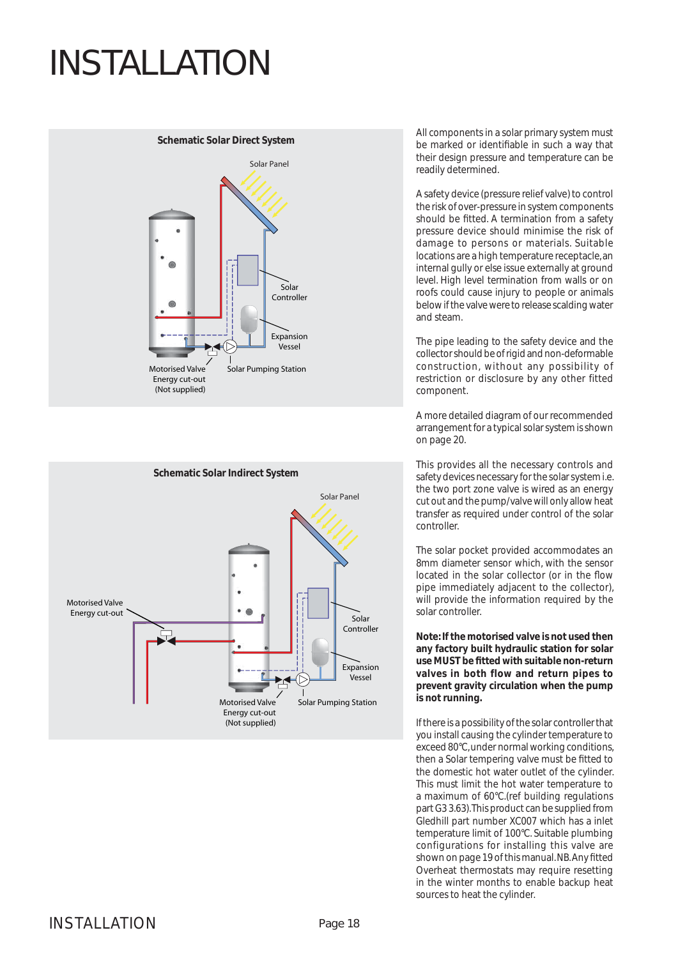



All components in a solar primary system must be marked or identifiable in such a way that their design pressure and temperature can be readily determined.

A safety device (pressure relief valve) to control the risk of over-pressure in system components should be fitted. A termination from a safety pressure device should minimise the risk of damage to persons or materials. Suitable locations are a high temperature receptacle, an internal gully or else issue externally at ground level. High level termination from walls or on roofs could cause injury to people or animals below if the valve were to release scalding water and steam.

The pipe leading to the safety device and the collector should be of rigid and non-deformable construction, without any possibility of restriction or disclosure by any other fitted component.

A more detailed diagram of our recommended arrangement for a typical solar system is shown on page 20.

This provides all the necessary controls and safety devices necessary for the solar system i.e. the two port zone valve is wired as an energy cut out and the pump/valve will only allow heat transfer as required under control of the solar controller.

The solar pocket provided accommodates an 8mm diameter sensor which, with the sensor located in the solar collector (or in the flow pipe immediately adjacent to the collector), will provide the information required by the solar controller.

**Note: If the motorised valve is not used then any factory built hydraulic station for solar use MUST be fi tted with suitable non-return valves in both flow and return pipes to prevent gravity circulation when the pump is not running.**

If there is a possibility of the solar controller that you install causing the cylinder temperature to exceed 80°C, under normal working conditions, then a Solar tempering valve must be fitted to the domestic hot water outlet of the cylinder. This must limit the hot water temperature to a maximum of 60°C.(ref building regulations part G3 3.63). This product can be supplied from Gledhill part number XC007 which has a inlet temperature limit of 100°C. Suitable plumbing configurations for installing this valve are shown on page 19 of this manual. NB. Any fitted Overheat thermostats may require resetting in the winter months to enable backup heat sources to heat the cylinder.

### INSTALL ATION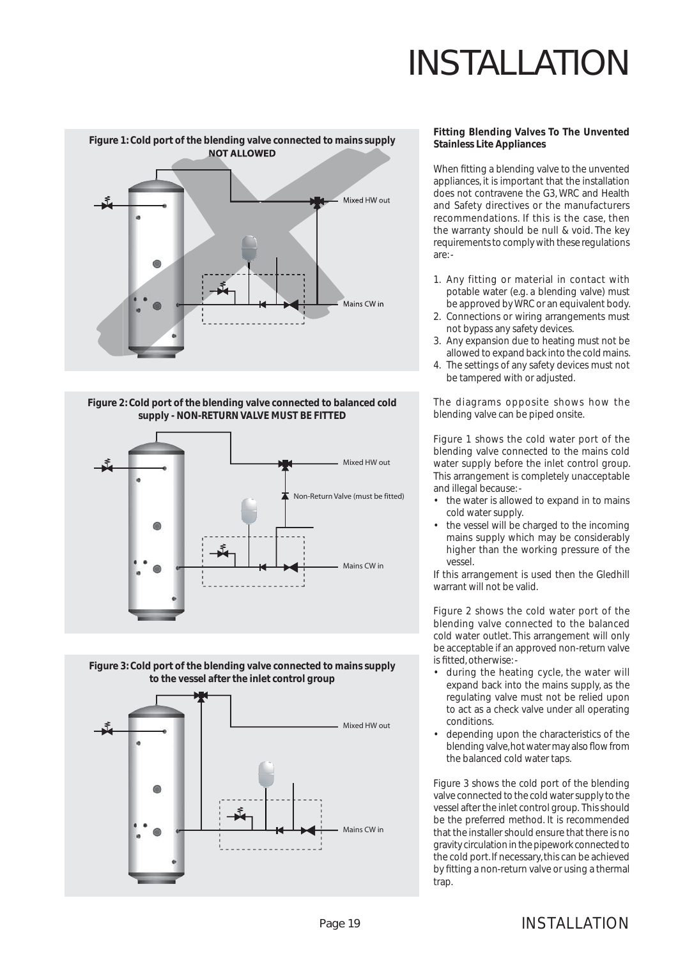

#### **Figure 2: Cold port of the blending valve connected to balanced cold supply - NON-RETURN VALVE MUST BE FITTED**





#### **Fitting Blending Valves To The Unvented Stainless Lite Appliances**

When fitting a blending valve to the unvented appliances, it is important that the installation does not contravene the G3, WRC and Health and Safety directives or the manufacturers recommendations. If this is the case, then the warranty should be null & void. The key requirements to comply with these regulations are: -

- 1. Any fitting or material in contact with potable water (e.g. a blending valve) must be approved by WRC or an equivalent body.
- 2. Connections or wiring arrangements must not bypass any safety devices.
- 3. Any expansion due to heating must not be allowed to expand back into the cold mains.
- 4. The settings of any safety devices must not be tampered with or adjusted.

The diagrams opposite shows how the blending valve can be piped onsite.

Figure 1 shows the cold water port of the blending valve connected to the mains cold water supply before the inlet control group. This arrangement is completely unacceptable and illegal because: -

- the water is allowed to expand in to mains cold water supply.
- the vessel will be charged to the incoming mains supply which may be considerably higher than the working pressure of the vessel.

If this arrangement is used then the Gledhill warrant will not be valid.

Figure 2 shows the cold water port of the blending valve connected to the balanced cold water outlet. This arrangement will only be acceptable if an approved non-return valve is fitted, otherwise: -

- during the heating cycle, the water will expand back into the mains supply, as the regulating valve must not be relied upon to act as a check valve under all operating conditions.
- depending upon the characteristics of the blending valve, hot water may also flow from the balanced cold water taps.

Figure 3 shows the cold port of the blending valve connected to the cold water supply to the vessel after the inlet control group. This should be the preferred method. It is recommended that the installer should ensure that there is no gravity circulation in the pipework connected to the cold port. If necessary, this can be achieved by fitting a non-return valve or using a thermal trap.

### INSTALLATION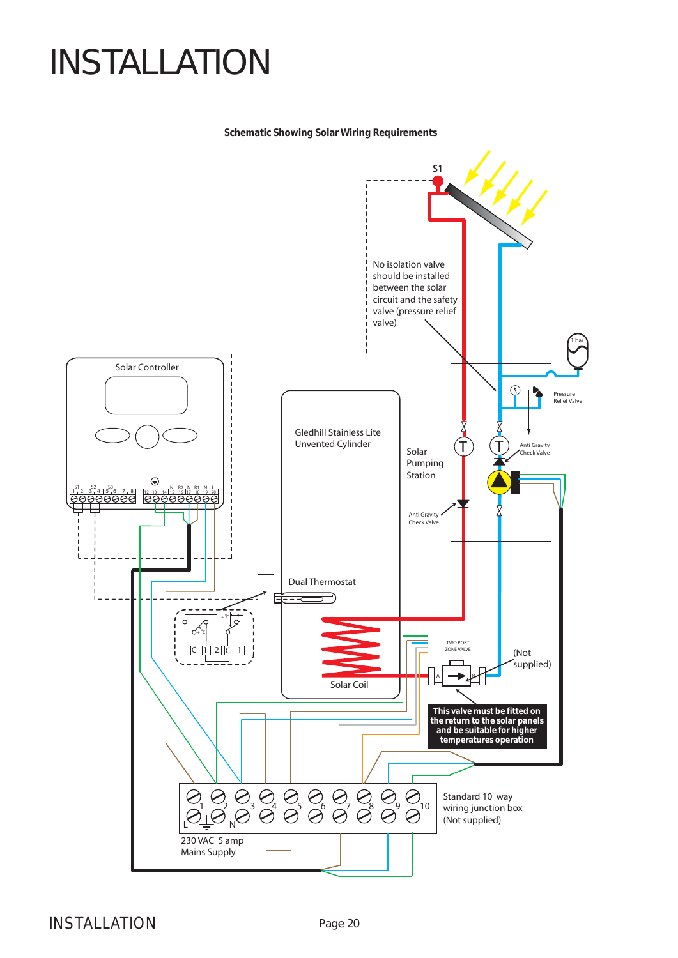#### **Schematic Showing Solar Wiring Requirements**



### INSTALLATION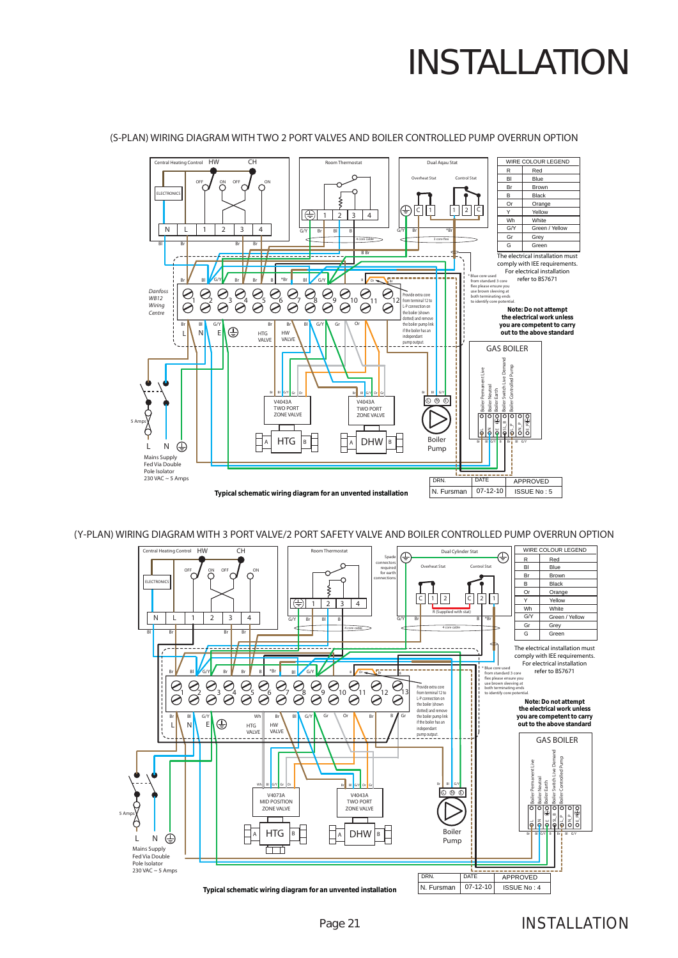

#### (S-PLAN) WIRING DIAGRAM WITH TWO 2 PORT VALVES AND BOILER CONTROLLED PUMP OVERRUN OPTION

(Y-PLAN) WIRING DIAGRAM WITH 3 PORT VALVE/2 PORT SAFETY VALVE AND BOILER CONTROLLED PUMP OVERRUN OPTION

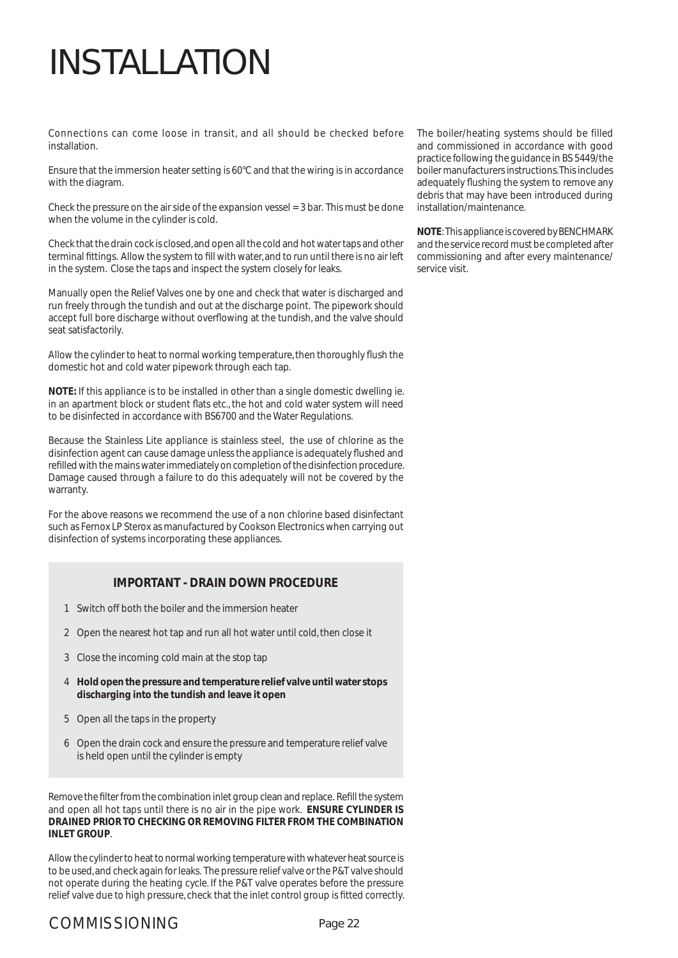Connections can come loose in transit, and all should be checked before installation.

Ensure that the immersion heater setting is 60°C and that the wiring is in accordance with the diagram.

Check the pressure on the air side of the expansion vessel = 3 bar. This must be done when the volume in the cylinder is cold.

Check that the drain cock is closed, and open all the cold and hot water taps and other terminal fittings. Allow the system to fill with water, and to run until there is no air left in the system. Close the taps and inspect the system closely for leaks.

Manually open the Relief Valves one by one and check that water is discharged and run freely through the tundish and out at the discharge point. The pipework should accept full bore discharge without overflowing at the tundish, and the valve should seat satisfactorily.

Allow the cylinder to heat to normal working temperature, then thoroughly flush the domestic hot and cold water pipework through each tap.

**NOTE:** If this appliance is to be installed in other than a single domestic dwelling ie. in an apartment block or student flats etc., the hot and cold water system will need to be disinfected in accordance with BS6700 and the Water Regulations.

Because the Stainless Lite appliance is stainless steel, the use of chlorine as the disinfection agent can cause damage unless the appliance is adequately flushed and refilled with the mains water immediately on completion of the disinfection procedure. Damage caused through a failure to do this adequately will not be covered by the warranty.

For the above reasons we recommend the use of a non chlorine based disinfectant such as Fernox LP Sterox as manufactured by Cookson Electronics when carrying out disinfection of systems incorporating these appliances.

### **IMPORTANT - DRAIN DOWN PROCEDURE**

- 1 Switch off both the boiler and the immersion heater
- 2 Open the nearest hot tap and run all hot water until cold, then close it
- 3 Close the incoming cold main at the stop tap
- 4 **Hold open the pressure and temperature relief valve until water stops discharging into the tundish and leave it open**
- 5 Open all the taps in the property
- 6 Open the drain cock and ensure the pressure and temperature relief valve is held open until the cylinder is empty

Remove the filter from the combination inlet group clean and replace. Refill the system and open all hot taps until there is no air in the pipe work. **ENSURE CYLINDER IS DRAINED PRIOR TO CHECKING OR REMOVING FILTER FROM THE COMBINATION INLET GROUP**.

Allow the cylinder to heat to normal working temperature with whatever heat source is to be used, and check again for leaks. The pressure relief valve or the P&T valve should not operate during the heating cycle. If the P&T valve operates before the pressure relief valve due to high pressure, check that the inlet control group is fitted correctly.

### COMMISSIONING

The boiler/heating systems should be filled and commissioned in accordance with good practice following the guidance in BS 5449/the boiler manufacturers instructions. This includes adequately flushing the system to remove any debris that may have been introduced during installation/maintenance.

**NOTE**: This appliance is covered by BENCHMARK and the service record must be completed after commissioning and after every maintenance/ service visit.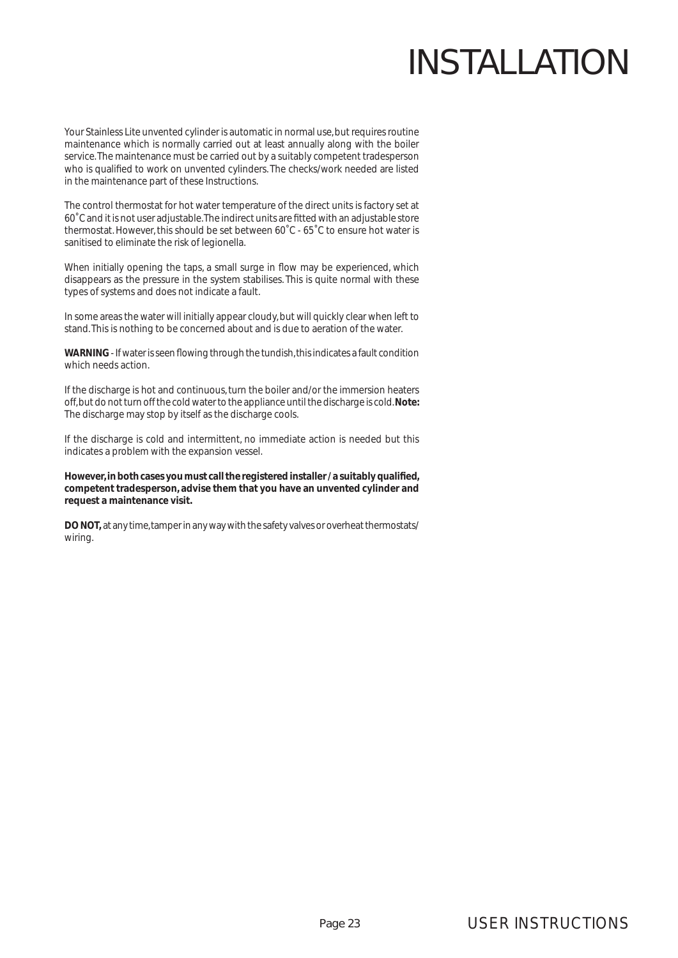Your Stainless Lite unvented cylinder is automatic in normal use, but requires routine maintenance which is normally carried out at least annually along with the boiler service. The maintenance must be carried out by a suitably competent tradesperson who is qualified to work on unvented cylinders. The checks/work needed are listed in the maintenance part of these Instructions.

The control thermostat for hot water temperature of the direct units is factory set at 60˚C and it is not user adjustable. The indirect units are fi tted with an adjustable store thermostat. However, this should be set between 60˚C - 65˚C to ensure hot water is sanitised to eliminate the risk of legionella.

When initially opening the taps, a small surge in flow may be experienced, which disappears as the pressure in the system stabilises. This is quite normal with these types of systems and does not indicate a fault.

In some areas the water will initially appear cloudy, but will quickly clear when left to stand. This is nothing to be concerned about and is due to aeration of the water.

**WARNING** - If water is seen flowing through the tundish, this indicates a fault condition which needs action.

If the discharge is hot and continuous, turn the boiler and/or the immersion heaters off, but do not turn off the cold water to the appliance until the discharge is cold. **Note:**  The discharge may stop by itself as the discharge cools.

If the discharge is cold and intermittent, no immediate action is needed but this indicates a problem with the expansion vessel.

However, in both cases you must call the registered installer / a suitably qualified, **competent tradesperson, advise them that you have an unvented cylinder and request a maintenance visit.**

**DO NOT,** at any time, tamper in any way with the safety valves or overheat thermostats/ wiring.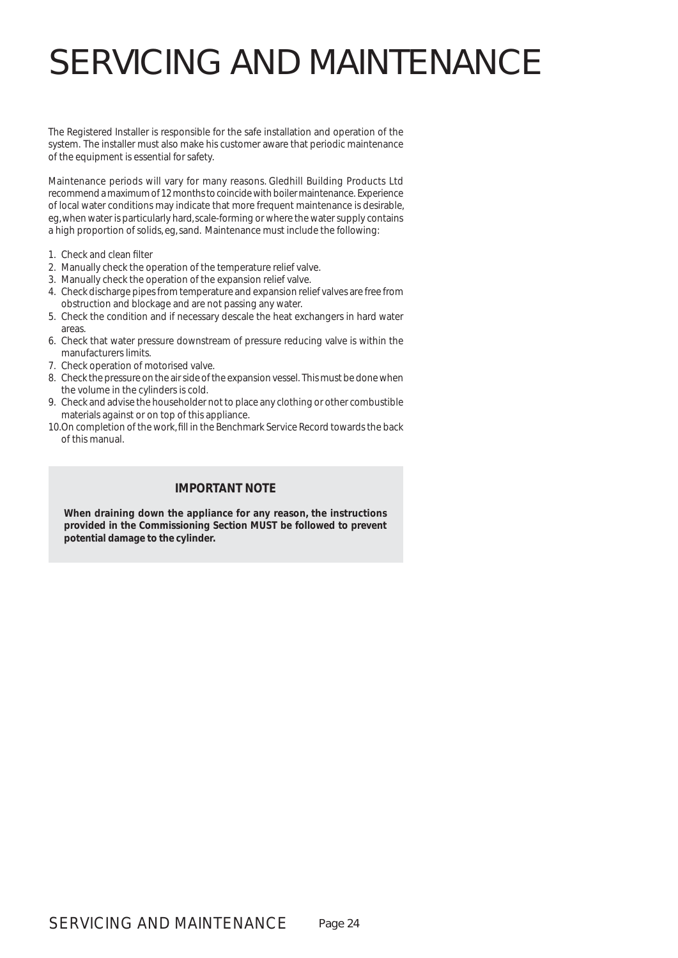The Registered Installer is responsible for the safe installation and operation of the system. The installer must also make his customer aware that periodic maintenance of the equipment is essential for safety.

Maintenance periods will vary for many reasons. Gledhill Building Products Ltd recommend a maximum of 12 months to coincide with boiler maintenance. Experience of local water conditions may indicate that more frequent maintenance is desirable, eg, when water is particularly hard, scale-forming or where the water supply contains a high proportion of solids, eg, sand. Maintenance must include the following:

- 1. Check and clean filter
- 2. Manually check the operation of the temperature relief valve.
- 3. Manually check the operation of the expansion relief valve.
- 4. Check discharge pipes from temperature and expansion relief valves are free from obstruction and blockage and are not passing any water.
- 5. Check the condition and if necessary descale the heat exchangers in hard water areas.
- 6. Check that water pressure downstream of pressure reducing valve is within the manufacturers limits.
- 7. Check operation of motorised valve.
- 8. Check the pressure on the air side of the expansion vessel. This must be done when the volume in the cylinders is cold.
- 9. Check and advise the householder not to place any clothing or other combustible materials against or on top of this appliance.
- 10. On completion of the work, fill in the Benchmark Service Record towards the back of this manual.

### **IMPORTANT NOTE**

**When draining down the appliance for any reason, the instructions provided in the Commissioning Section MUST be followed to prevent potential damage to the cylinder.**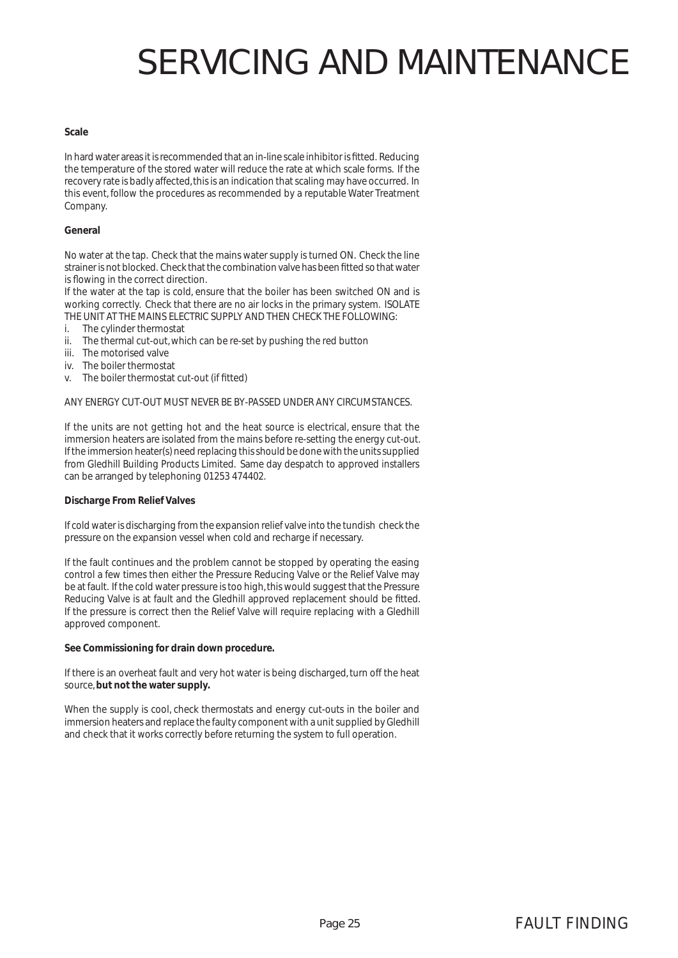#### **Scale**

In hard water areas it is recommended that an in-line scale inhibitor is fitted. Reducing the temperature of the stored water will reduce the rate at which scale forms. If the recovery rate is badly affected, this is an indication that scaling may have occurred. In this event, follow the procedures as recommended by a reputable Water Treatment Company.

#### **General**

No water at the tap. Check that the mains water supply is turned ON. Check the line strainer is not blocked. Check that the combination valve has been fitted so that water is flowing in the correct direction.

If the water at the tap is cold, ensure that the boiler has been switched ON and is working correctly. Check that there are no air locks in the primary system. ISOLATE THE UNIT AT THE MAINS ELECTRIC SUPPLY AND THEN CHECK THE FOLLOWING:

- i. The cylinder thermostat
- ii. The thermal cut-out, which can be re-set by pushing the red button
- iii. The motorised valve
- iv. The boiler thermostat
- v. The boiler thermostat cut-out (if fitted)

#### ANY ENERGY CUT-OUT MUST NEVER BE BY-PASSED UNDER ANY CIRCUMSTANCES.

If the units are not getting hot and the heat source is electrical, ensure that the immersion heaters are isolated from the mains before re-setting the energy cut-out. If the immersion heater(s) need replacing this should be done with the units supplied from Gledhill Building Products Limited. Same day despatch to approved installers can be arranged by telephoning 01253 474402.

#### **Discharge From Relief Valves**

If cold water is discharging from the expansion relief valve into the tundish check the pressure on the expansion vessel when cold and recharge if necessary.

If the fault continues and the problem cannot be stopped by operating the easing control a few times then either the Pressure Reducing Valve or the Relief Valve may be at fault. If the cold water pressure is too high, this would suggest that the Pressure Reducing Valve is at fault and the Gledhill approved replacement should be fitted. If the pressure is correct then the Relief Valve will require replacing with a Gledhill approved component.

#### **See Commissioning for drain down procedure.**

If there is an overheat fault and very hot water is being discharged, turn off the heat source, **but not the water supply.**

When the supply is cool, check thermostats and energy cut-outs in the boiler and immersion heaters and replace the faulty component with a unit supplied by Gledhill and check that it works correctly before returning the system to full operation.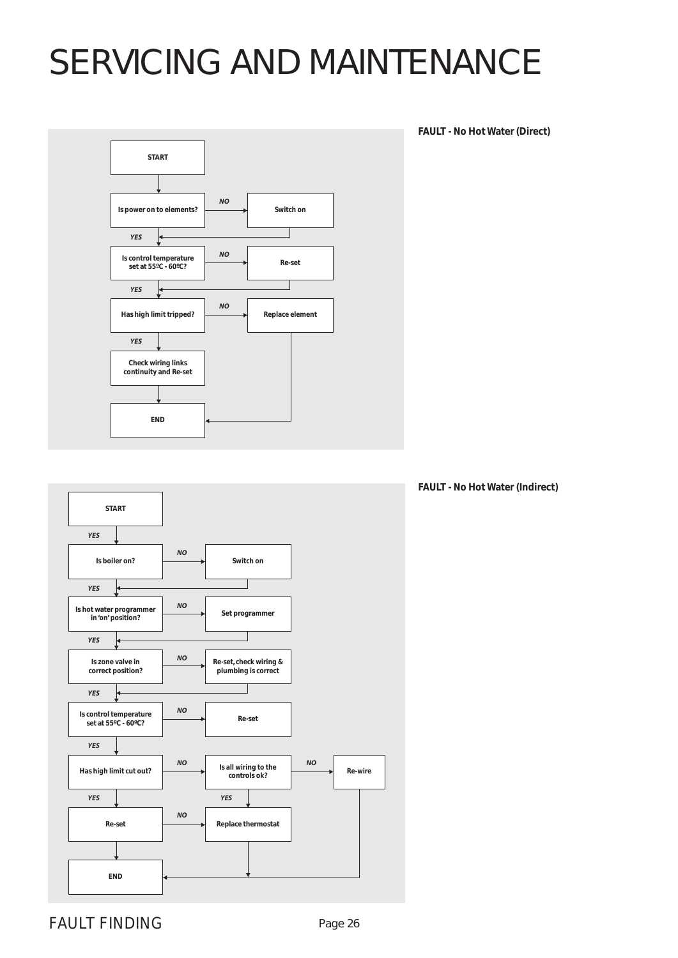

**FAULT - No Hot Water (Direct)**



**FAULT - No Hot Water (Indirect)**

FAULT FINDING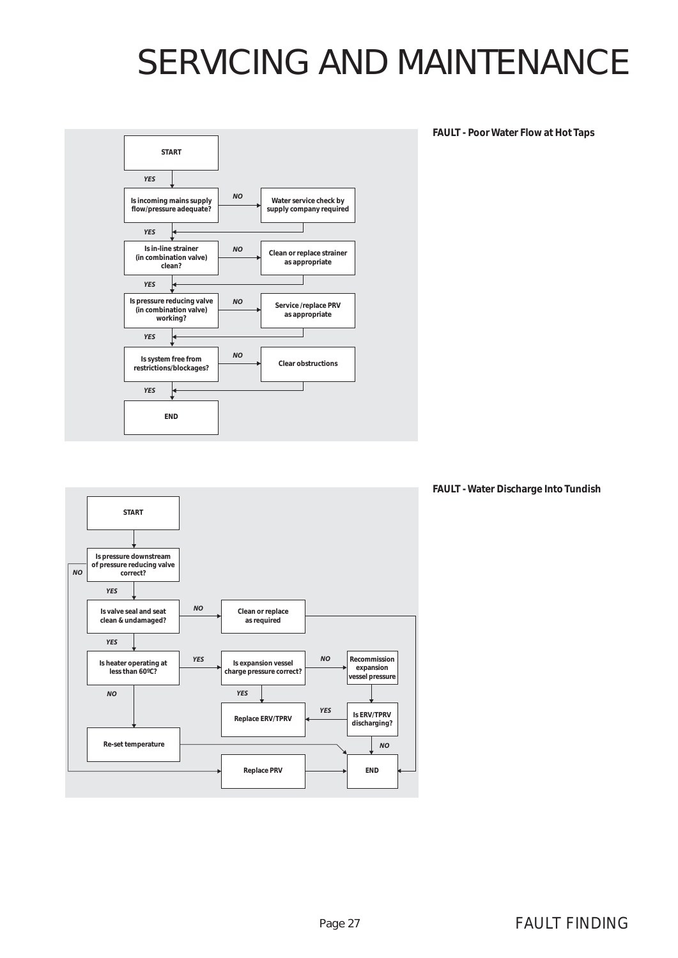

**FAULT - Poor Water Flow at Hot Taps**



**FAULT - Water Discharge Into Tundish**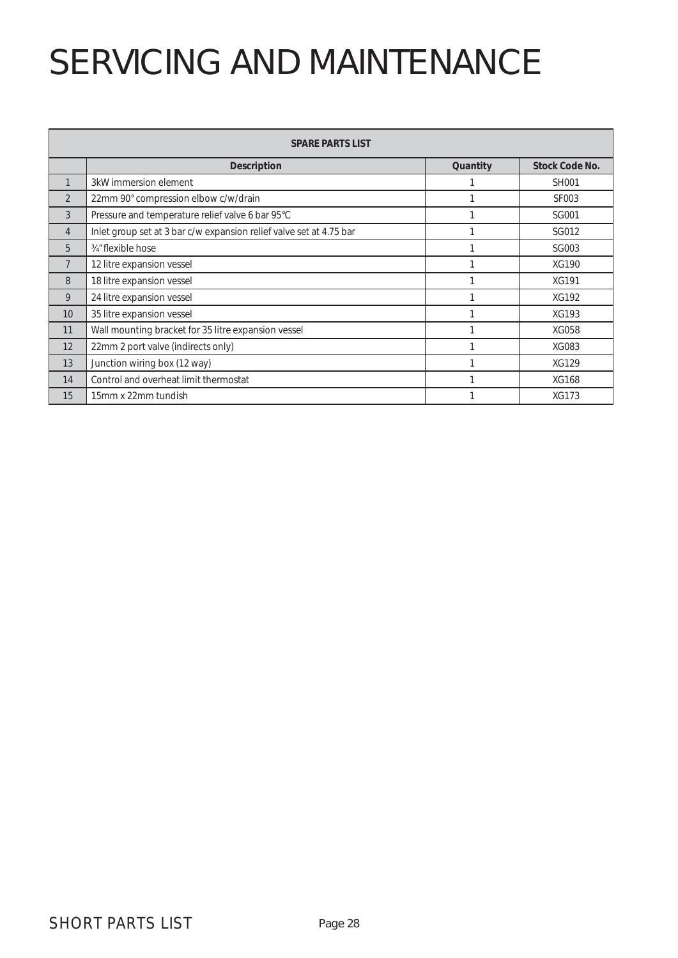|                | <b>SPARE PARTS LIST</b>                                             |          |                       |
|----------------|---------------------------------------------------------------------|----------|-----------------------|
|                | <b>Description</b>                                                  | Quantity | <b>Stock Code No.</b> |
| 1              | 3kW immersion element                                               |          | <b>SH001</b>          |
| $\overline{2}$ | 22mm 90° compression elbow c/w/drain                                |          | <b>SF003</b>          |
| 3              | Pressure and temperature relief valve 6 bar 95°C                    |          | SG001                 |
| $\overline{4}$ | Inlet group set at 3 bar c/w expansion relief valve set at 4.75 bar |          | SG012                 |
| 5              | 3/4" flexible hose                                                  |          | SG003                 |
| 7              | 12 litre expansion vessel                                           |          | XG190                 |
| 8              | 18 litre expansion vessel                                           |          | <b>XG191</b>          |
| 9              | 24 litre expansion vessel                                           |          | <b>XG192</b>          |
| 10             | 35 litre expansion vessel                                           |          | XG193                 |
| 11             | Wall mounting bracket for 35 litre expansion vessel                 |          | XG058                 |
| 12             | 22mm 2 port valve (indirects only)                                  |          | XG083                 |
| 13             | Junction wiring box (12 way)                                        |          | <b>XG129</b>          |
| 14             | Control and overheat limit thermostat                               |          | XG168                 |
| 15             | 15mm x 22mm tundish                                                 |          | XG173                 |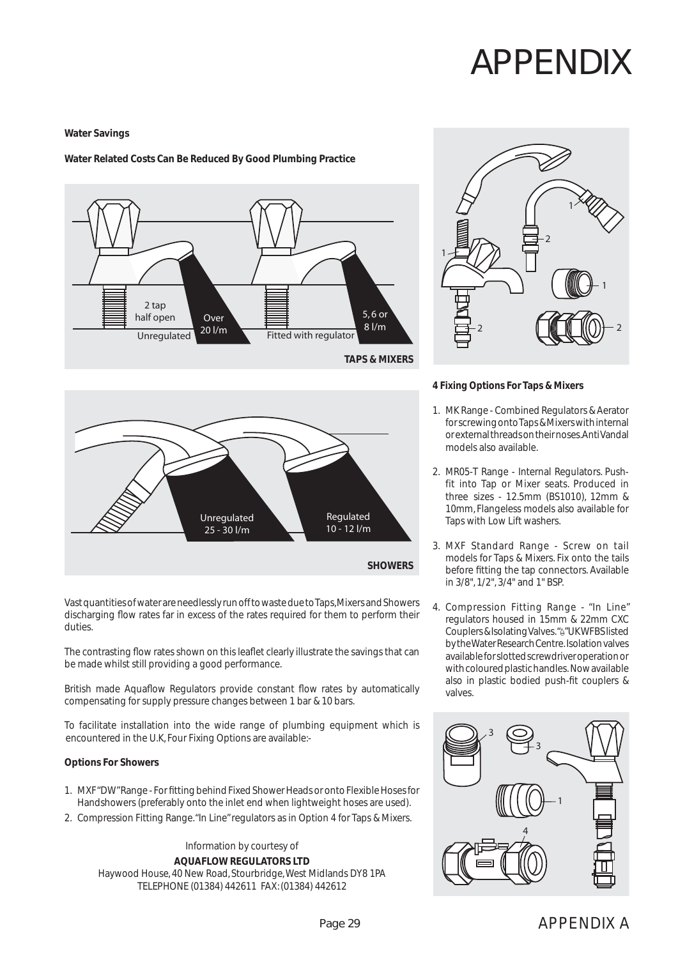## APPENDIX

#### **Water Savings**

#### **Water Related Costs Can Be Reduced By Good Plumbing Practice**





Vast quantities of water are needlessly run off to waste due to Taps, Mixers and Showers discharging flow rates far in excess of the rates required for them to perform their duties.

The contrasting flow rates shown on this leaflet clearly illustrate the savings that can be made whilst still providing a good performance.

British made Aquaflow Regulators provide constant flow rates by automatically compensating for supply pressure changes between 1 bar & 10 bars.

To facilitate installation into the wide range of plumbing equipment which is encountered in the U.K, Four Fixing Options are available:-

#### **Options For Showers**

- 1. MXF "DW" Range For fitting behind Fixed Shower Heads or onto Flexible Hoses for Handshowers (preferably onto the inlet end when lightweight hoses are used).
- 2. Compression Fitting Range. "In Line" regulators as in Option 4 for Taps & Mixers.

Information by courtesy of **AQUAFLOW REGULATORS LTD** Haywood House, 40 New Road, Stourbridge, West Midlands DY8 1PA TELEPHONE (01384) 442611 FAX: (01384) 442612



#### **4 Fixing Options For Taps & Mixers**

- 1. MK Range Combined Regulators & Aerator for screwing onto Taps & Mixers with internal or external threads on their noses. Anti Vandal models also available.
- 2. MR05-T Range Internal Regulators. Pushfit into Tap or Mixer seats. Produced in three sizes - 12.5mm (BS1010), 12mm & 10mm, Flangeless models also available for Taps with Low Lift washers.
- 3. MXF Standard Range Screw on tail models for Taps & Mixers. Fix onto the tails before fitting the tap connectors. Available in 3/8", 1/2", 3/4" and 1" BSP.
- 4. Compression Fitting Range "In Line" regulators housed in 15mm & 22mm CXC Couplers & Isolating Valves. "<sup>6"</sup> UK WFBS listed by the Water Research Centre. Isolation valves available for slotted screwdriver operation or with coloured plastic handles. Now available also in plastic bodied push-fit couplers  $\&$ valves.

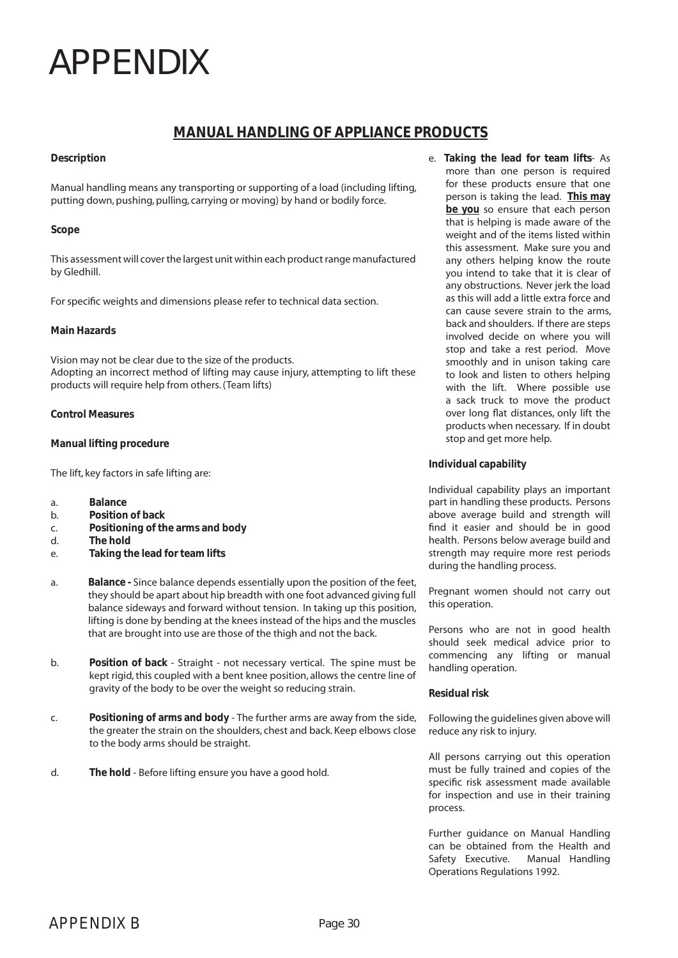### APPENDIX

### **MANUAL HANDLING OF APPLIANCE PRODUCTS**

#### **Description**

Manual handling means any transporting or supporting of a load (including lifting, putting down, pushing, pulling, carrying or moving) by hand or bodily force.

#### **Scope**

This assessment will cover the largest unit within each product range manufactured by Gledhill.

For specific weights and dimensions please refer to technical data section.

#### **Main Hazards**

Vision may not be clear due to the size of the products. Adopting an incorrect method of lifting may cause injury, attempting to lift these products will require help from others. (Team lifts)

#### **Control Measures**

#### **Manual lifting procedure**

The lift, key factors in safe lifting are:

- a. **Balance**
- b. **Position of back**
- c. **Positioning of the arms and body**
- d. **The hold**
- e. **Taking the lead for team lifts**
- a. **Balance** Since balance depends essentially upon the position of the feet, they should be apart about hip breadth with one foot advanced giving full balance sideways and forward without tension. In taking up this position, lifting is done by bending at the knees instead of the hips and the muscles that are brought into use are those of the thigh and not the back.
- b. **Position of back** Straight not necessary vertical. The spine must be kept rigid, this coupled with a bent knee position, allows the centre line of gravity of the body to be over the weight so reducing strain.
- c. **Positioning of arms and body** The further arms are away from the side, the greater the strain on the shoulders, chest and back. Keep elbows close to the body arms should be straight.
- d. **The hold** Before lifting ensure you have a good hold.

e. **Taking the lead for team lifts**- As more than one person is required for these products ensure that one person is taking the lead. **This may be you** so ensure that each person that is helping is made aware of the weight and of the items listed within this assessment. Make sure you and any others helping know the route you intend to take that it is clear of any obstructions. Never jerk the load as this will add a little extra force and can cause severe strain to the arms, back and shoulders. If there are steps involved decide on where you will stop and take a rest period. Move smoothly and in unison taking care to look and listen to others helping with the lift. Where possible use a sack truck to move the product over long flat distances, only lift the products when necessary. If in doubt stop and get more help.

#### **Individual capability**

Individual capability plays an important part in handling these products. Persons above average build and strength will find it easier and should be in good health. Persons below average build and strength may require more rest periods during the handling process.

Pregnant women should not carry out this operation.

Persons who are not in good health should seek medical advice prior to commencing any lifting or manual handling operation.

#### **Residual risk**

Following the guidelines given above will reduce any risk to injury.

All persons carrying out this operation must be fully trained and copies of the specific risk assessment made available for inspection and use in their training process.

Further guidance on Manual Handling can be obtained from the Health and Safety Executive. Manual Handling Operations Regulations 1992.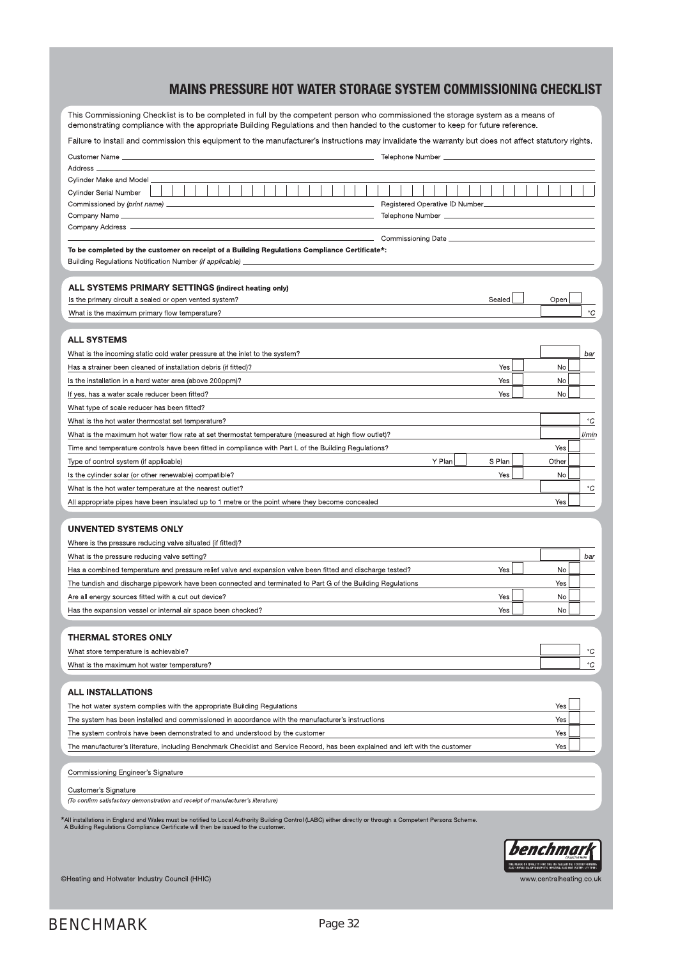### MAINS PRESSURE HOT WATER STORAGE SYSTEM COMMISSIONING CHECKLIST

This Commissioning Checklist is to be completed in full by the competent person who commissioned the storage system as a means of demonstrating compliance with the appropriate Building Regulations and then handed to the cu

| Failure to install and commission this equipment to the manufacturer's instructions may invalidate the warranty but does not affect statutory rights. |  |
|-------------------------------------------------------------------------------------------------------------------------------------------------------|--|
|                                                                                                                                                       |  |
|                                                                                                                                                       |  |

| Customer Name _                                                                                                                                            | Telephone Number __            |           |             |  |
|------------------------------------------------------------------------------------------------------------------------------------------------------------|--------------------------------|-----------|-------------|--|
| Address -                                                                                                                                                  |                                |           |             |  |
| Cylinder Make and Model                                                                                                                                    |                                |           |             |  |
| <b>Cylinder Serial Number</b>                                                                                                                              |                                |           |             |  |
| Commissioned by (print name) _                                                                                                                             | Registered Operative ID Number |           |             |  |
| Company Name _                                                                                                                                             | Telephone Number __            |           |             |  |
| Company Address -                                                                                                                                          | Commissioning Date ______      |           |             |  |
| To be completed by the customer on receipt of a Building Regulations Compliance Certificate*:                                                              |                                |           |             |  |
| Building Regulations Notification Number (if applicable)                                                                                                   |                                |           |             |  |
|                                                                                                                                                            |                                |           |             |  |
| <b>ALL SYSTEMS PRIMARY SETTINGS (indirect heating only)</b>                                                                                                |                                |           |             |  |
| Is the primary circuit a sealed or open vented system?                                                                                                     | Sealed                         | Open      |             |  |
| What is the maximum primary flow temperature?                                                                                                              |                                |           | $^{\circ}C$ |  |
|                                                                                                                                                            |                                |           |             |  |
| <b>ALL SYSTEMS</b>                                                                                                                                         |                                |           |             |  |
| What is the incoming static cold water pressure at the inlet to the system?                                                                                |                                |           | bar         |  |
| Has a strainer been cleaned of installation debris (if fitted)?                                                                                            | Yes                            | No        |             |  |
| Is the installation in a hard water area (above 200ppm)?                                                                                                   | Yes                            | No        |             |  |
| Yes<br>If yes, has a water scale reducer been fitted?<br>No                                                                                                |                                |           |             |  |
| What type of scale reducer has been fitted?                                                                                                                |                                |           |             |  |
| What is the hot water thermostat set temperature?                                                                                                          |                                |           | $^{\circ}C$ |  |
| What is the maximum hot water flow rate at set thermostat temperature (measured at high flow outlet)?                                                      |                                |           | l/min       |  |
| Time and temperature controls have been fitted in compliance with Part L of the Building Regulations?                                                      |                                | Yes       |             |  |
| Type of control system (if applicable)                                                                                                                     | Y Plan<br>S Plan               | Other     |             |  |
| Is the cylinder solar (or other renewable) compatible?                                                                                                     | Yes                            | No        |             |  |
| What is the hot water temperature at the nearest outlet?                                                                                                   |                                |           | $^{\circ}C$ |  |
| All appropriate pipes have been insulated up to 1 metre or the point where they become concealed                                                           |                                | Yes       |             |  |
|                                                                                                                                                            |                                |           |             |  |
| <b>UNVENTED SYSTEMS ONLY</b>                                                                                                                               |                                |           |             |  |
| Where is the pressure reducing valve situated (if fitted)?                                                                                                 |                                |           |             |  |
| What is the pressure reducing valve setting?                                                                                                               |                                |           | bar         |  |
| Has a combined temperature and pressure relief valve and expansion valve been fitted and discharge tested?<br>Yes<br>No                                    |                                |           |             |  |
| The tundish and discharge pipework have been connected and terminated to Part G of the Building Regulations<br>Yes<br>No                                   |                                |           |             |  |
| Yes<br>Are all energy sources fitted with a cut out device?                                                                                                |                                |           |             |  |
| Has the expansion vessel or internal air space been checked?                                                                                               | Yes                            | <b>No</b> |             |  |
| <b>THERMAL STORES ONLY</b>                                                                                                                                 |                                |           |             |  |
|                                                                                                                                                            |                                |           | $^{\circ}C$ |  |
| What store temperature is achievable?<br>What is the maximum hot water temperature?                                                                        |                                |           | $^{\circ}C$ |  |
|                                                                                                                                                            |                                |           |             |  |
| <b>ALL INSTALLATIONS</b>                                                                                                                                   |                                |           |             |  |
| The hot water system complies with the appropriate Building Regulations                                                                                    |                                | Yes       |             |  |
| The system has been installed and commissioned in accordance with the manufacturer's instructions                                                          |                                | Yes       |             |  |
| The system controls have been demonstrated to and understood by the customer                                                                               |                                | Yes       |             |  |
|                                                                                                                                                            |                                | Yes       |             |  |
| The manufacturer's literature, including Benchmark Checklist and Service Record, has been explained and left with the customer                             |                                |           |             |  |
| Commissioning Engineer's Signature                                                                                                                         |                                |           |             |  |
| Customer's Signature                                                                                                                                       |                                |           |             |  |
| (To confirm satisfactory demonstration and receipt of manufacturer's literature)                                                                           |                                |           |             |  |
| *All installations in England and Wales must be notified to Local Authority Building Control (LABC) either directly or through a Competent Persons Scheme. |                                |           |             |  |
| A Building Regulations Compliance Certificate will then be issued to the customer.                                                                         |                                |           |             |  |
|                                                                                                                                                            |                                | benchmark |             |  |
|                                                                                                                                                            |                                |           |             |  |

THE MARK OF QUALITY FOR THE INSTALLATION, C<br>AND SERVICING OF DOMESTIC HEATING AND HOT V www.centralheating.co.uk

©Heating and Hotwater Industry Council (HHIC)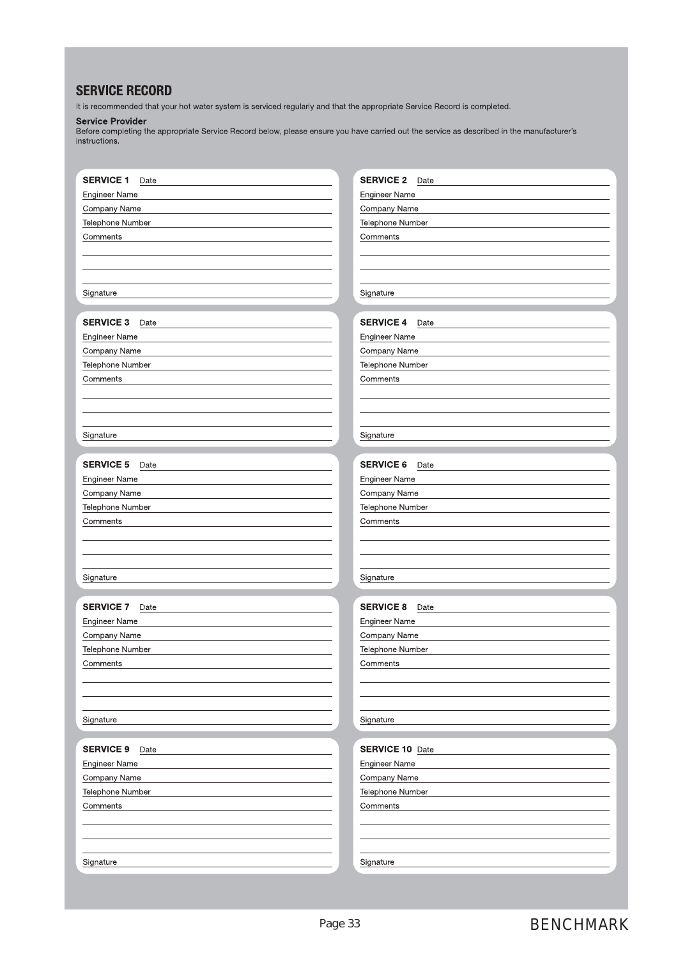### **SERVICE RECORD**

It is recommended that your hot water system is serviced regularly and that the appropriate Service Record is completed.

Service Provider<br>Before completing the appropriate Service Record below, please ensure you have carried out the service as described in the manufacturer's instructions.

| <b>SERVICE 1</b><br>Date | <b>SERVICE 2</b><br>Date |
|--------------------------|--------------------------|
| Engineer Name            | <b>Engineer Name</b>     |
| Company Name             | Company Name             |
| Telephone Number         | Telephone Number         |
| Comments                 | Comments                 |
|                          |                          |
|                          |                          |
|                          |                          |
| Signature                | Signature                |
|                          |                          |
| <b>SERVICE 3</b><br>Date | <b>SERVICE 4</b><br>Date |
| <b>Engineer Name</b>     | <b>Engineer Name</b>     |
| Company Name             | Company Name             |
| Telephone Number         | Telephone Number         |
| Comments                 | Comments                 |
|                          |                          |
|                          |                          |
|                          |                          |
| Signature                | Signature                |
|                          |                          |
| <b>SERVICE 5</b><br>Date | <b>SERVICE 6</b><br>Date |
| <b>Engineer Name</b>     | <b>Engineer Name</b>     |
| Company Name             | Company Name             |
| Telephone Number         | Telephone Number         |
| Comments                 | Comments                 |
|                          |                          |
|                          |                          |
|                          |                          |
| Signature                | Signature                |
|                          |                          |
| <b>SERVICE 7</b><br>Date | <b>SERVICE 8</b><br>Date |
| Engineer Name            | <b>Engineer Name</b>     |
| Company Name             | Company Name             |
| Telephone Number         | Telephone Number         |
| Comments                 | Comments                 |
|                          |                          |
|                          |                          |
|                          |                          |
| Signature                | Signature                |
|                          |                          |
| <b>SERVICE 9</b><br>Date | <b>SERVICE 10 Date</b>   |
| Engineer Name            | <b>Engineer Name</b>     |
| Company Name             | Company Name             |
| Telephone Number         | Telephone Number         |
| Comments                 | Comments                 |
|                          |                          |
|                          |                          |
|                          |                          |
| Signature                | Signature                |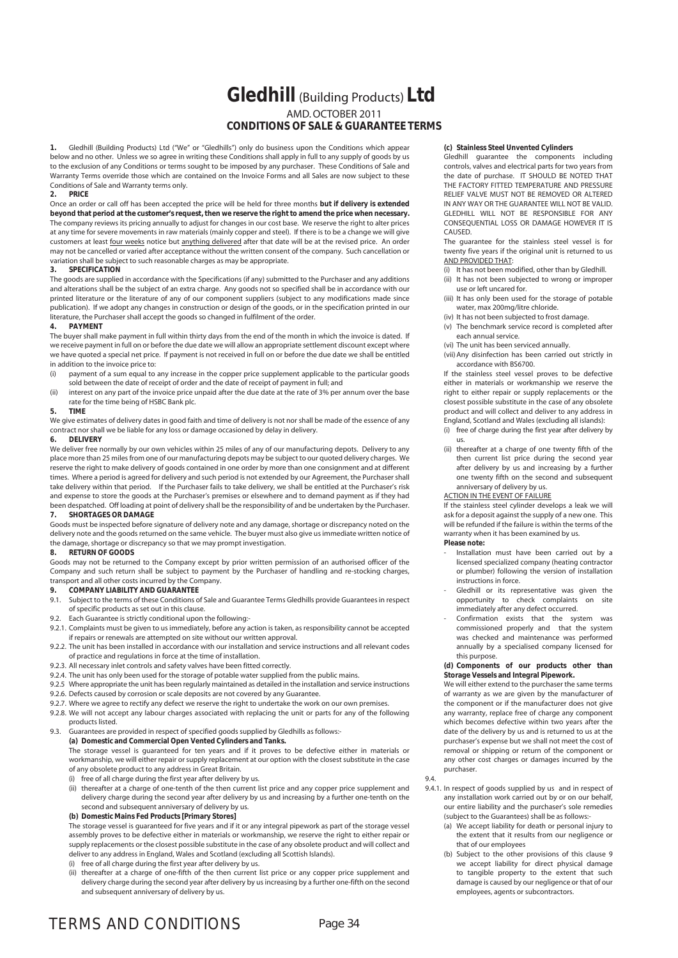### **Gledhill** (Building Products) **Ltd** AMD. OCTOBER 2011 **CONDITIONS OF SALE & GUARANTEE TERMS**

**1.** Gledhill (Building Products) Ltd ("We" or "Gledhills") only do business upon the Conditions which appear below and no other. Unless we so agree in writing these Conditions shall apply in full to any supply of goods by us to the exclusion of any Conditions or terms sought to be imposed by any purchaser. These Conditions of Sale and Warranty Terms override those which are contained on the Invoice Forms and all Sales are now subject to these Conditions of Sale and Warranty terms only.<br>2. **PRICE** 

#### **2. PRICE**

Once an order or call off has been accepted the price will be held for three months **but if delivery is extended beyond that period at the customer's request, then we reserve the right to amend the price when necessary.** The company reviews its pricing annually to adjust for changes in our cost base. We reserve the right to alter prices at any time for severe movements in raw materials (mainly copper and steel). If there is to be a change we will give customers at least four weeks notice but anything delivered after that date will be at the revised price. An order may not be cancelled or varied after acceptance without the written consent of the company. Such cancellation or variation shall be subject to such reasonable charges as may be appropriate.

#### **3. SPECIFICATION**

The goods are supplied in accordance with the Specifications (if any) submitted to the Purchaser and any additions and alterations shall be the subject of an extra charge. Any goods not so specified shall be in accordance with our printed literature or the literature of any of our component suppliers (subject to any modifications made since publication). If we adopt any changes in construction or design of the goods, or in the specification printed in our literature, the Purchaser shall accept the goods so changed in fulfilment of the order.

#### **4. PAYMENT**

The buyer shall make payment in full within thirty days from the end of the month in which the invoice is dated. If we receive payment in full on or before the due date we will allow an appropriate settlement discount except where we have quoted a special net price. If payment is not received in full on or before the due date we shall be entitled in addition to the invoice price to:

- (i) payment of a sum equal to any increase in the copper price supplement applicable to the particular goods sold between the date of receipt of order and the date of receipt of payment in full; and
- (ii) interest on any part of the invoice price unpaid after the due date at the rate of 3% per annum over the base rate for the time being of HSBC Bank plc.

#### **5. TIME**

We give estimates of delivery dates in good faith and time of delivery is not nor shall be made of the essence of any contract nor shall we be liable for any loss or damage occasioned by delay in delivery.

#### **6. DELIVERY**

We deliver free normally by our own vehicles within 25 miles of any of our manufacturing depots. Delivery to any place more than 25 miles from one of our manufacturing depots may be subject to our quoted delivery charges. We reserve the right to make delivery of goods contained in one order by more than one consignment and at different times. Where a period is agreed for delivery and such period is not extended by our Agreement, the Purchaser shall take delivery within that period. If the Purchaser fails to take delivery, we shall be entitled at the Purchaser's risk and expense to store the goods at the Purchaser's premises or elsewhere and to demand payment as if they had been despatched. Off loading at point of delivery shall be the responsibility of and be undertaken by the Purchaser. **7. SHORTAGES OR DAMAGE**

Goods must be inspected before signature of delivery note and any damage, shortage or discrepancy noted on the delivery note and the goods returned on the same vehicle. The buyer must also give us immediate written notice of the damage, shortage or discrepancy so that we may prompt investigation.

#### **8. RETURN OF GOODS**

Goods may not be returned to the Company except by prior written permission of an authorised officer of the Company and such return shall be subject to payment by the Purchaser of handling and re-stocking charges, transport and all other costs incurred by the Company.

#### **9. COMPANY LIABILITY AND GUARANTEE**

- 9.1. Subject to the terms of these Conditions of Sale and Guarantee Terms Gledhills provide Guarantees in respect of specific products as set out in this clause.
- 9.2. Each Guarantee is strictly conditional upon the following:-
- 9.2.1. Complaints must be given to us immediately, before any action is taken, as responsibility cannot be accepted if repairs or renewals are attempted on site without our written approval.
- 9.2.2. The unit has been installed in accordance with our installation and service instructions and all relevant codes of practice and regulations in force at the time of installation.
- 9.2.3. All necessary inlet controls and safety valves have been fitted correctly.
- 9.2.4. The unit has only been used for the storage of potable water supplied from the public mains.
- 9.2.5 Where appropriate the unit has been regularly maintained as detailed in the installation and service instructions
- 9.2.6. Defects caused by corrosion or scale deposits are not covered by any Guarantee.
- 9.2.7. Where we agree to rectify any defect we reserve the right to undertake the work on our own premises.
- 9.2.8. We will not accept any labour charges associated with replacing the unit or parts for any of the following products listed.

#### 9.3. Guarantees are provided in respect of specified goods supplied by Gledhills as follows:- **(a) Domestic and Commercial Open Vented Cylinders and Tanks.**

 The storage vessel is guaranteed for ten years and if it proves to be defective either in materials or workmanship, we will either repair or supply replacement at our option with the closest substitute in the case of any obsolete product to any address in Great Britain.

- (i) free of all charge during the first year after delivery by us.
- (ii) thereafter at a charge of one-tenth of the then current list price and any copper price supplement and delivery charge during the second year after delivery by us and increasing by a further one-tenth on the second and subsequent anniversary of delivery by us.

#### **(b) Domestic Mains Fed Products [Primary Stores]**

 The storage vessel is guaranteed for five years and if it or any integral pipework as part of the storage vessel assembly proves to be defective either in materials or workmanship, we reserve the right to either repair or supply replacements or the closest possible substitute in the case of any obsolete product and will collect and deliver to any address in England, Wales and Scotland (excluding all Scottish Islands).

- (i) free of all charge during the first year after delivery by us.
- (ii) thereafter at a charge of one-fifth of the then current list price or any copper price supplement and delivery charge during the second year after delivery by us increasing by a further one-fifth on the second and subsequent anniversary of delivery by us.

#### **(c) Stainless Steel Unvented Cylinders**

 Gledhill guarantee the components including controls, valves and electrical parts for two years from the date of purchase. IT SHOULD BE NOTED THAT THE FACTORY FITTED TEMPERATURE AND PRESSURE RELIEF VALVE MUST NOT BE REMOVED OR ALTERED IN ANY WAY OR THE GUARANTEE WILL NOT BE VALID. GLEDHILL WILL NOT BE RESPONSIBLE FOR ANY CONSEQUENTIAL LOSS OR DAMAGE HOWEVER IT IS CAUSED.

 The guarantee for the stainless steel vessel is for twenty five years if the original unit is returned to us AND PROVIDED THAT:

- (i) It has not been modified, other than by Gledhill.
- (ii) It has not been subjected to wrong or improper use or left uncared for.
- (iii) It has only been used for the storage of potable water, max 200mg/litre chloride.
- (iv) It has not been subjected to frost damage. (v) The benchmark service record is completed after each annual service.
- (vi) The unit has been serviced annually.
- (vii) Any disinfection has been carried out strictly in accordance with BS6700.

 If the stainless steel vessel proves to be defective either in materials or workmanship we reserve the right to either repair or supply replacements or the closest possible substitute in the case of any obsolete product and will collect and deliver to any address in England, Scotland and Wales (excluding all islands):

- (i) free of charge during the first year after delivery by us.
- (ii) thereafter at a charge of one twenty fifth of the then current list price during the second year after delivery by us and increasing by a further one twenty fifth on the second and subsequent anniversary of delivery by us.
- ACTION IN THE EVENT OF FAILURE

 If the stainless steel cylinder develops a leak we will ask for a deposit against the supply of a new one. This will be refunded if the failure is within the terms of the warranty when it has been examined by us.

#### **Please note:**

- Installation must have been carried out by a licensed specialized company (heating contractor or plumber) following the version of installation instructions in force.
- Gledhill or its representative was given the opportunity to check complaints on site immediately after any defect occurred.
- Confirmation exists that the system was commissioned properly and that the system was checked and maintenance was performed annually by a specialised company licensed for this purpose.

#### **(d) Components of our products other than Storage Vessels and Integral Pipework.**

 We will either extend to the purchaser the same terms of warranty as we are given by the manufacturer of the component or if the manufacturer does not give any warranty, replace free of charge any component which becomes defective within two years after the date of the delivery by us and is returned to us at the purchaser's expense but we shall not meet the cost of removal or shipping or return of the component or any other cost charges or damages incurred by the purchaser.

9.4.

- 9.4.1. In respect of goods supplied by us and in respect of any installation work carried out by or on our behalf, our entire liability and the purchaser's sole remedies (subject to the Guarantees) shall be as follows:-
	- (a) We accept liability for death or personal injury to the extent that it results from our negligence or that of our employees
	- (b) Subject to the other provisions of this clause 9 we accept liability for direct physical damage to tangible property to the extent that such damage is caused by our negligence or that of our employees, agents or subcontractors.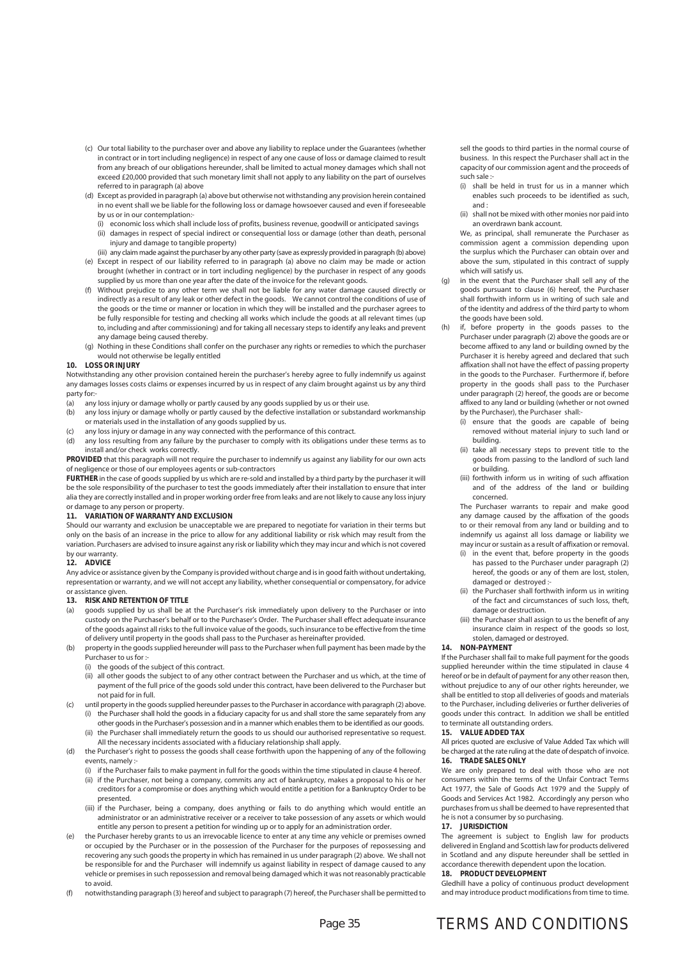- (c) Our total liability to the purchaser over and above any liability to replace under the Guarantees (whether in contract or in tort including negligence) in respect of any one cause of loss or damage claimed to result from any breach of our obligations hereunder, shall be limited to actual money damages which shall not exceed £20,000 provided that such monetary limit shall not apply to any liability on the part of ourselves referred to in paragraph (a) above
- (d) Except as provided in paragraph (a) above but otherwise not withstanding any provision herein contained in no event shall we be liable for the following loss or damage howsoever caused and even if foreseeable by us or in our contemplation:-
	- (i) economic loss which shall include loss of profits, business revenue, goodwill or anticipated savings
	- (ii) damages in respect of special indirect or consequential loss or damage (other than death, personal injury and damage to tangible property)
- (iii) any claim made against the purchaser by any other party (save as expressly provided in paragraph (b) above) (e) Except in respect of our liability referred to in paragraph (a) above no claim may be made or action brought (whether in contract or in tort including negligence) by the purchaser in respect of any goods supplied by us more than one year after the date of the invoice for the relevant goods.
- Without prejudice to any other term we shall not be liable for any water damage caused directly or indirectly as a result of any leak or other defect in the goods. We cannot control the conditions of use of the goods or the time or manner or location in which they will be installed and the purchaser agrees to be fully responsible for testing and checking all works which include the goods at all relevant times (up to, including and after commissioning) and for taking all necessary steps to identify any leaks and prevent any damage being caused thereby.
- (g) Nothing in these Conditions shall confer on the purchaser any rights or remedies to which the purchaser would not otherwise be legally entitled

#### **10. LOSS OR INJURY**

Notwithstanding any other provision contained herein the purchaser's hereby agree to fully indemnify us against any damages losses costs claims or expenses incurred by us in respect of any claim brought against us by any third party for:<br>(a) any

- any loss injury or damage wholly or partly caused by any goods supplied by us or their use.
- (b) any loss injury or damage wholly or partly caused by the defective installation or substandard workmanship or materials used in the installation of any goods supplied by us.
- (c) any loss injury or damage in any way connected with the performance of this contract.
- (d) any loss resulting from any failure by the purchaser to comply with its obligations under these terms as to install and/or check works correctly.

**PROVIDED** that this paragraph will not require the purchaser to indemnify us against any liability for our own acts of negligence or those of our employees agents or sub-contractors

**FURTHER** in the case of goods supplied by us which are re-sold and installed by a third party by the purchaser it will be the sole responsibility of the purchaser to test the goods immediately after their installation to ensure that inter alia they are correctly installed and in proper working order free from leaks and are not likely to cause any loss injury or damage to any person or property.

#### **11. VARIATION OF WARRANTY AND EXCLUSION**

Should our warranty and exclusion be unacceptable we are prepared to negotiate for variation in their terms but only on the basis of an increase in the price to allow for any additional liability or risk which may result from the variation. Purchasers are advised to insure against any risk or liability which they may incur and which is not covered by our warranty.

#### **12. ADVICE**

Any advice or assistance given by the Company is provided without charge and is in good faith without undertaking, representation or warranty, and we will not accept any liability, whether consequential or compensatory, for advice or assistance given.

#### **13. RISK AND RETENTION OF TITLE**

- (a) goods supplied by us shall be at the Purchaser's risk immediately upon delivery to the Purchaser or into custody on the Purchaser's behalf or to the Purchaser's Order. The Purchaser shall effect adequate insurance of the goods against all risks to the full invoice value of the goods, such insurance to be effective from the time of delivery until property in the goods shall pass to the Purchaser as hereinafter provided.
- property in the goods supplied hereunder will pass to the Purchaser when full payment has been made by the Purchaser to us for :-
	- (i) the goods of the subject of this contract.
	- (ii) all other goods the subject to of any other contract between the Purchaser and us which, at the time of payment of the full price of the goods sold under this contract, have been delivered to the Purchaser but not paid for in full.
- (c) until property in the goods supplied hereunder passes to the Purchaser in accordance with paragraph (2) above. (i) the Purchaser shall hold the goods in a fiduciary capacity for us and shall store the same separately from any other goods in the Purchaser's possession and in a manner which enables them to be identified as our goods.
	- (ii) the Purchaser shall immediately return the goods to us should our authorised representative so request. All the necessary incidents associated with a fiduciary relationship shall apply.
- (d) the Purchaser's right to possess the goods shall cease forthwith upon the happening of any of the following events, namely :
	- (i) if the Purchaser fails to make payment in full for the goods within the time stipulated in clause 4 hereof. (ii) if the Purchaser, not being a company, commits any act of bankruptcy, makes a proposal to his or her creditors for a compromise or does anything which would entitle a petition for a Bankruptcy Order to be presented.
	- (iii) if the Purchaser, being a company, does anything or fails to do anything which would entitle an administrator or an administrative receiver or a receiver to take possession of any assets or which would entitle any person to present a petition for winding up or to apply for an administration order.
- the Purchaser hereby grants to us an irrevocable licence to enter at any time any vehicle or premises owned or occupied by the Purchaser or in the possession of the Purchaser for the purposes of repossessing and recovering any such goods the property in which has remained in us under paragraph (2) above. We shall not be responsible for and the Purchaser will indemnify us against liability in respect of damage caused to any vehicle or premises in such repossession and removal being damaged which it was not reasonably practicable to avoid.
- (f) notwithstanding paragraph (3) hereof and subject to paragraph (7) hereof, the Purchaser shall be permitted to

sell the goods to third parties in the normal course of business. In this respect the Purchaser shall act in the capacity of our commission agent and the proceeds of such sale :-

- (i) shall be held in trust for us in a manner which enables such proceeds to be identified as such, and :
- (ii) shall not be mixed with other monies nor paid into an overdrawn bank account.

 We, as principal, shall remunerate the Purchaser as commission agent a commission depending upon the surplus which the Purchaser can obtain over and above the sum, stipulated in this contract of supply which will satisfy us.

- in the event that the Purchaser shall sell any of the goods pursuant to clause (6) hereof, the Purchaser shall forthwith inform us in writing of such sale and of the identity and address of the third party to whom the goods have been sold.
- (h) if, before property in the goods passes to the Purchaser under paragraph (2) above the goods are or become affixed to any land or building owned by the Purchaser it is hereby agreed and declared that such affixation shall not have the effect of passing property in the goods to the Purchaser. Furthermore if, before property in the goods shall pass to the Purchaser under paragraph (2) hereof, the goods are or become affixed to any land or building (whether or not owned by the Purchaser), the Purchaser shall:-
	- (i) ensure that the goods are capable of being removed without material injury to such land or building.
	- (ii) take all necessary steps to prevent title to the goods from passing to the landlord of such land or building.
	- (iii) forthwith inform us in writing of such affixation and of the address of the land or building concerned.

 The Purchaser warrants to repair and make good any damage caused by the affixation of the goods to or their removal from any land or building and to indemnify us against all loss damage or liability we may incur or sustain as a result of affixation or removal.

- (i) in the event that, before property in the goods has passed to the Purchaser under paragraph (2) hereof, the goods or any of them are lost, stolen, damaged or destroyed :-
- (ii) the Purchaser shall forthwith inform us in writing of the fact and circumstances of such loss, theft, damage or destruction.
- (iii) the Purchaser shall assign to us the benefit of any insurance claim in respect of the goods so lost, stolen, damaged or destroyed.

#### **14. NON-PAYMENT**

If the Purchaser shall fail to make full payment for the goods supplied hereunder within the time stipulated in clause 4 hereof or be in default of payment for any other reason then, without prejudice to any of our other rights hereunder, we shall be entitled to stop all deliveries of goods and materials to the Purchaser, including deliveries or further deliveries of goods under this contract. In addition we shall be entitled to terminate all outstanding orders.

#### **15. VALUE ADDED TAX**

All prices quoted are exclusive of Value Added Tax which will be charged at the rate ruling at the date of despatch of invoice. **16. TRADE SALES ONLY**

We are only prepared to deal with those who are not consumers within the terms of the Unfair Contract Terms Act 1977, the Sale of Goods Act 1979 and the Supply of Goods and Services Act 1982. Accordingly any person who purchases from us shall be deemed to have represented that he is not a consumer by so purchasing.

#### **17. JURISDICTION**

The agreement is subject to English law for products delivered in England and Scottish law for products delivered in Scotland and any dispute hereunder shall be settled in accordance therewith dependent upon the location.

#### **18. PRODUCT DEVELOPMENT**

Gledhill have a policy of continuous product development and may introduce product modifications from time to time.

### TERMS AND CONDITIONS